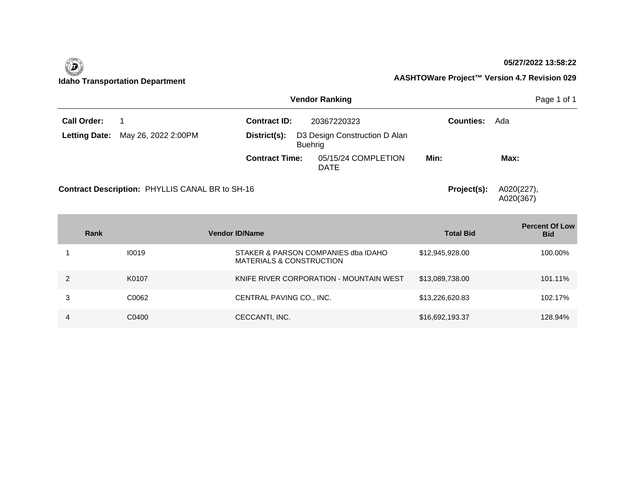#### **05/27/2022 13:58:22**



|                    |                                          | Page 1 of 1                    |                               |                  |      |
|--------------------|------------------------------------------|--------------------------------|-------------------------------|------------------|------|
| <b>Call Order:</b> |                                          | <b>Contract ID:</b>            | 20367220323                   | <b>Counties:</b> | Ada  |
|                    | <b>Letting Date:</b> May 26, 2022 2:00PM | District(s):<br><b>Buehrig</b> | D3 Design Construction D Alan |                  |      |
|                    |                                          | <b>Contract Time:</b>          | 05/15/24 COMPLETION<br>DATE   | Min:             | Max: |

**Contract Description: PHYLLIS CANAL BR to SH-16** 

**Project(s):** A020(227), A020(367)

| Rank |       | <b>Vendor ID/Name</b>                                                      | <b>Total Bid</b> | <b>Percent Of Low</b><br><b>Bid</b> |
|------|-------|----------------------------------------------------------------------------|------------------|-------------------------------------|
|      | 10019 | STAKER & PARSON COMPANIES dba IDAHO<br><b>MATERIALS &amp; CONSTRUCTION</b> | \$12,945,928.00  | 100.00%                             |
|      | K0107 | KNIFE RIVER CORPORATION - MOUNTAIN WEST                                    | \$13,089,738.00  | 101.11%                             |
| 3    | C0062 | CENTRAL PAVING CO., INC.                                                   | \$13,226,620.83  | 102.17%                             |
| 4    | C0400 | CECCANTI, INC.                                                             | \$16,692,193.37  | 128.94%                             |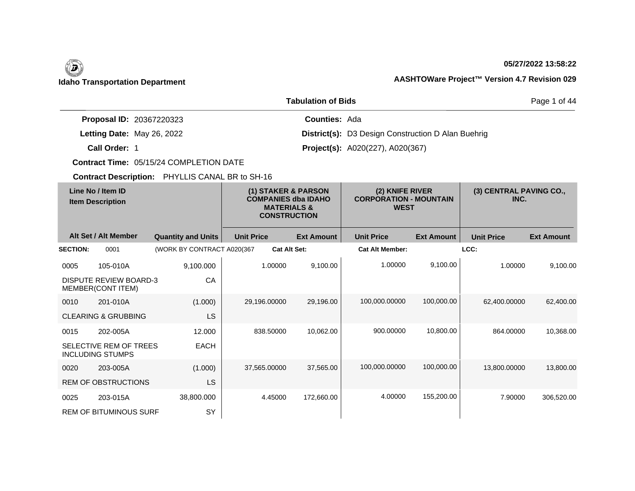#### **05/27/2022 13:58:22**

### **Idaho Transportation Department AASHTOWare Project™ Version 4.7 Revision 029**

|                                 | Page 1 of 44                                              |  |
|---------------------------------|-----------------------------------------------------------|--|
| <b>Proposal ID: 20367220323</b> | <b>Counties: Ada</b>                                      |  |
| Letting Date: May 26, 2022      | <b>District(s):</b> D3 Design Construction D Alan Buehrig |  |
| Call Order: 1                   | <b>Project(s):</b> A020(227), A020(367)                   |  |

**Contract Time:** 05/15/24 COMPLETION DATE

| Line No / Item ID<br><b>Item Description</b> |                                                    | (1) STAKER & PARSON<br><b>COMPANIES dba IDAHO</b><br><b>MATERIALS &amp;</b><br><b>CONSTRUCTION</b> |                   | (2) KNIFE RIVER<br><b>CORPORATION - MOUNTAIN</b><br><b>WEST</b> |                        | (3) CENTRAL PAVING CO.,<br>INC. |                   |                   |
|----------------------------------------------|----------------------------------------------------|----------------------------------------------------------------------------------------------------|-------------------|-----------------------------------------------------------------|------------------------|---------------------------------|-------------------|-------------------|
|                                              | Alt Set / Alt Member                               | <b>Quantity and Units</b>                                                                          | <b>Unit Price</b> | <b>Ext Amount</b>                                               | <b>Unit Price</b>      | <b>Ext Amount</b>               | <b>Unit Price</b> | <b>Ext Amount</b> |
| <b>SECTION:</b>                              | 0001                                               | (WORK BY CONTRACT A020(367                                                                         |                   | <b>Cat Alt Set:</b>                                             | <b>Cat Alt Member:</b> |                                 | LCC:              |                   |
| 0005                                         | 105-010A                                           | 9,100.000                                                                                          | 1.00000           | 9,100.00                                                        | 1.00000                | 9,100.00                        | 1.00000           | 9,100.00          |
|                                              | <b>DISPUTE REVIEW BOARD-3</b><br>MEMBER(CONT ITEM) | CA                                                                                                 |                   |                                                                 |                        |                                 |                   |                   |
| 0010                                         | 201-010A                                           | (1.000)                                                                                            | 29,196.00000      | 29,196.00                                                       | 100,000.00000          | 100,000.00                      | 62,400.00000      | 62,400.00         |
|                                              | <b>CLEARING &amp; GRUBBING</b>                     | <b>LS</b>                                                                                          |                   |                                                                 |                        |                                 |                   |                   |
| 0015                                         | 202-005A                                           | 12.000                                                                                             | 838.50000         | 10,062.00                                                       | 900.00000              | 10,800.00                       | 864.00000         | 10,368.00         |
|                                              | SELECTIVE REM OF TREES<br><b>INCLUDING STUMPS</b>  | <b>EACH</b>                                                                                        |                   |                                                                 |                        |                                 |                   |                   |
| 0020                                         | 203-005A                                           | (1.000)                                                                                            | 37,565.00000      | 37,565.00                                                       | 100,000.00000          | 100,000.00                      | 13,800.00000      | 13,800.00         |
|                                              | <b>REM OF OBSTRUCTIONS</b>                         | <b>LS</b>                                                                                          |                   |                                                                 |                        |                                 |                   |                   |
| 0025                                         | 203-015A                                           | 38,800.000                                                                                         | 4.45000           | 172,660.00                                                      | 4.00000                | 155,200.00                      | 7.90000           | 306,520.00        |
|                                              | <b>REM OF BITUMINOUS SURF</b>                      | SY                                                                                                 |                   |                                                                 |                        |                                 |                   |                   |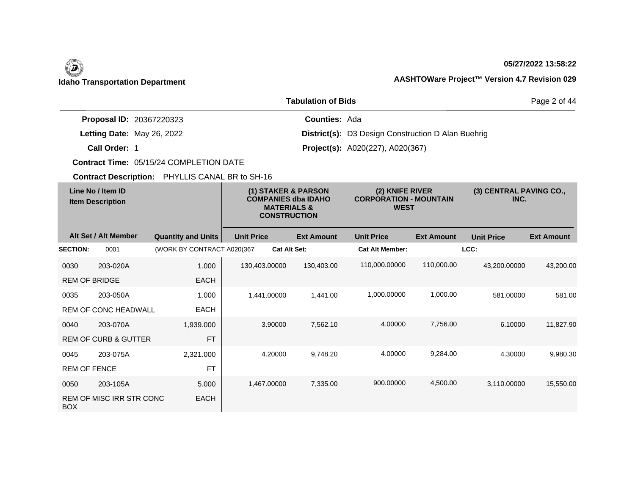#### **05/27/2022 13:58:22**

|                                 | Page 2 of 44                                              |  |
|---------------------------------|-----------------------------------------------------------|--|
| <b>Proposal ID: 20367220323</b> | <b>Counties: Ada</b>                                      |  |
| Letting Date: May 26, 2022      | <b>District(s):</b> D3 Design Construction D Alan Buehrig |  |
| Call Order: 1                   | <b>Project(s):</b> A020(227), A020(367)                   |  |

**Contract Time:** 05/15/24 COMPLETION DATE

| Line No / Item ID<br><b>Item Description</b> |                                 | (1) STAKER & PARSON<br><b>COMPANIES dba IDAHO</b><br><b>MATERIALS &amp;</b><br><b>CONSTRUCTION</b> |                   | (2) KNIFE RIVER<br><b>CORPORATION - MOUNTAIN</b><br><b>WEST</b> |                   | (3) CENTRAL PAVING CO.,<br>INC. |                   |                   |                   |
|----------------------------------------------|---------------------------------|----------------------------------------------------------------------------------------------------|-------------------|-----------------------------------------------------------------|-------------------|---------------------------------|-------------------|-------------------|-------------------|
|                                              | Alt Set / Alt Member            | <b>Quantity and Units</b>                                                                          | <b>Unit Price</b> |                                                                 | <b>Ext Amount</b> | <b>Unit Price</b>               | <b>Ext Amount</b> | <b>Unit Price</b> | <b>Ext Amount</b> |
| <b>SECTION:</b>                              | 0001                            | (WORK BY CONTRACT A020(367                                                                         |                   | <b>Cat Alt Set:</b>                                             |                   | <b>Cat Alt Member:</b>          |                   | LCC:              |                   |
| 0030                                         | 203-020A                        | 1.000                                                                                              | 130,403.00000     |                                                                 | 130,403.00        | 110,000.00000                   | 110,000.00        | 43,200.00000      | 43,200.00         |
| <b>REM OF BRIDGE</b>                         |                                 | <b>EACH</b>                                                                                        |                   |                                                                 |                   |                                 |                   |                   |                   |
| 0035                                         | 203-050A                        | 1.000                                                                                              |                   | 1,441.00000                                                     | 1,441.00          | 1,000.00000                     | 1,000.00          | 581.00000         | 581.00            |
|                                              | REM OF CONC HEADWALL            | <b>EACH</b>                                                                                        |                   |                                                                 |                   |                                 |                   |                   |                   |
| 0040                                         | 203-070A                        | 1,939.000                                                                                          |                   | 3.90000                                                         | 7,562.10          | 4.00000                         | 7,756.00          | 6.10000           | 11,827.90         |
|                                              | <b>REM OF CURB &amp; GUTTER</b> | <b>FT</b>                                                                                          |                   |                                                                 |                   |                                 |                   |                   |                   |
| 0045                                         | 203-075A                        | 2,321.000                                                                                          |                   | 4.20000                                                         | 9,748.20          | 4.00000                         | 9,284.00          | 4.30000           | 9,980.30          |
| <b>REM OF FENCE</b>                          |                                 | <b>FT</b>                                                                                          |                   |                                                                 |                   |                                 |                   |                   |                   |
| 0050                                         | 203-105A                        | 5.000                                                                                              |                   | 1,467.00000                                                     | 7,335.00          | 900.00000                       | 4,500.00          | 3,110.00000       | 15,550.00         |
| <b>BOX</b>                                   | <b>REM OF MISC IRR STR CONC</b> | <b>EACH</b>                                                                                        |                   |                                                                 |                   |                                 |                   |                   |                   |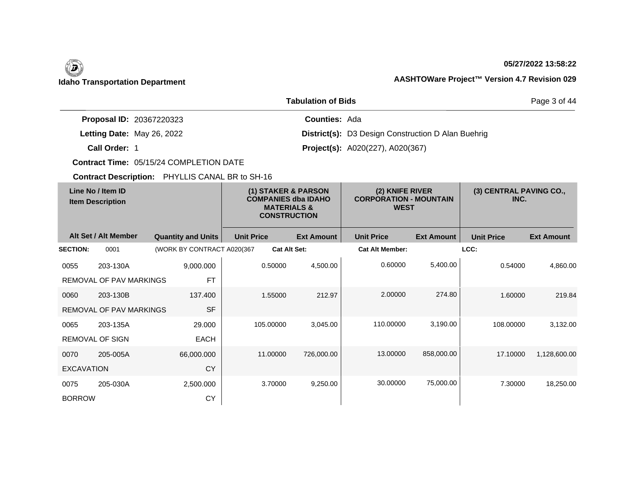#### **05/27/2022 13:58:22**

### **Idaho Transportation Department AASHTOWare Project™ Version 4.7 Revision 029**

|                                 | Page 3 of 44                                              |  |
|---------------------------------|-----------------------------------------------------------|--|
| <b>Proposal ID: 20367220323</b> | <b>Counties: Ada</b>                                      |  |
| Letting Date: May 26, 2022      | <b>District(s):</b> D3 Design Construction D Alan Buehrig |  |
| Call Order: 1                   | <b>Project(s):</b> A020(227), A020(367)                   |  |

**Contract Time:** 05/15/24 COMPLETION DATE

| Line No / Item ID<br><b>Item Description</b> |                                | (1) STAKER & PARSON<br><b>COMPANIES dba IDAHO</b><br><b>MATERIALS &amp;</b><br><b>CONSTRUCTION</b> |                     | (2) KNIFE RIVER<br><b>CORPORATION - MOUNTAIN</b><br><b>WEST</b> |                        | (3) CENTRAL PAVING CO.,<br>INC. |                   |                   |
|----------------------------------------------|--------------------------------|----------------------------------------------------------------------------------------------------|---------------------|-----------------------------------------------------------------|------------------------|---------------------------------|-------------------|-------------------|
|                                              | Alt Set / Alt Member           | <b>Quantity and Units</b>                                                                          | <b>Unit Price</b>   | <b>Ext Amount</b>                                               | <b>Unit Price</b>      | <b>Ext Amount</b>               | <b>Unit Price</b> | <b>Ext Amount</b> |
| <b>SECTION:</b>                              | 0001                           | (WORK BY CONTRACT A020(367                                                                         | <b>Cat Alt Set:</b> |                                                                 | <b>Cat Alt Member:</b> |                                 | LCC:              |                   |
| 0055                                         | 203-130A                       | 9,000.000                                                                                          | 0.50000             | 4,500.00                                                        | 0.60000                | 5,400.00                        | 0.54000           | 4,860.00          |
|                                              | REMOVAL OF PAV MARKINGS        | <b>FT</b>                                                                                          |                     |                                                                 |                        |                                 |                   |                   |
| 0060                                         | 203-130B                       | 137.400                                                                                            | 1.55000             | 212.97                                                          | 2.00000                | 274.80                          | 1.60000           | 219.84            |
|                                              | <b>REMOVAL OF PAV MARKINGS</b> | <b>SF</b>                                                                                          |                     |                                                                 |                        |                                 |                   |                   |
| 0065                                         | 203-135A                       | 29.000                                                                                             | 105.00000           | 3,045.00                                                        | 110.00000              | 3,190.00                        | 108.00000         | 3,132.00          |
|                                              | <b>REMOVAL OF SIGN</b>         | <b>EACH</b>                                                                                        |                     |                                                                 |                        |                                 |                   |                   |
| 0070                                         | 205-005A                       | 66,000.000                                                                                         | 11.00000            | 726,000.00                                                      | 13.00000               | 858,000.00                      | 17.10000          | 1,128,600.00      |
| <b>EXCAVATION</b>                            |                                | CY                                                                                                 |                     |                                                                 |                        |                                 |                   |                   |
| 0075                                         | 205-030A                       | 2,500.000                                                                                          | 3.70000             | 9,250.00                                                        | 30.00000               | 75,000.00                       | 7.30000           | 18,250.00         |
| <b>BORROW</b>                                |                                | CY                                                                                                 |                     |                                                                 |                        |                                 |                   |                   |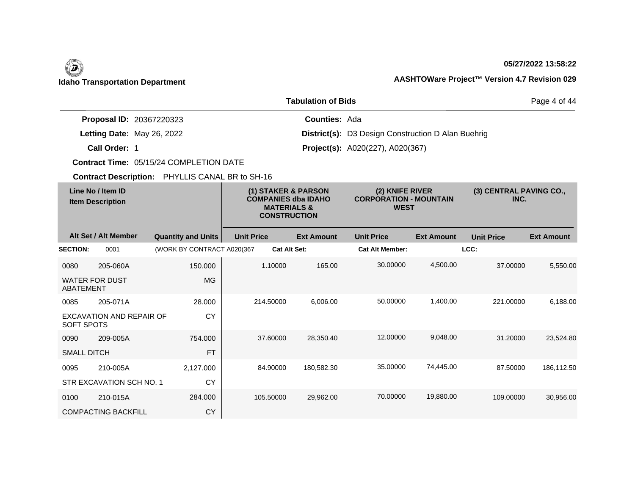## $\left(\begin{matrix} \n\end{matrix}\right)$

#### **05/27/2022 13:58:22**

Page 4 of 44

### **Idaho Transportation Department AASHTOWare Project™ Version 4.7 Revision 029**

|                                 | <b>Tabulation of Bids</b>                                 |
|---------------------------------|-----------------------------------------------------------|
| <b>Proposal ID: 20367220323</b> | <b>Counties: Ada</b>                                      |
| Letting Date: May 26, 2022      | <b>District(s):</b> D3 Design Construction D Alan Buehrig |
| Call Order: 1                   | <b>Project(s):</b> A020(227), A020(367)                   |

**Contract Time:** 05/15/24 COMPLETION DATE

| Line No / Item ID<br><b>Item Description</b> |                            | (1) STAKER & PARSON<br><b>COMPANIES dba IDAHO</b><br><b>MATERIALS &amp;</b><br><b>CONSTRUCTION</b> |                   | (2) KNIFE RIVER<br><b>CORPORATION - MOUNTAIN</b><br><b>WEST</b> |                        | (3) CENTRAL PAVING CO.,<br>INC. |                   |                   |
|----------------------------------------------|----------------------------|----------------------------------------------------------------------------------------------------|-------------------|-----------------------------------------------------------------|------------------------|---------------------------------|-------------------|-------------------|
|                                              | Alt Set / Alt Member       | <b>Quantity and Units</b>                                                                          | <b>Unit Price</b> | <b>Ext Amount</b>                                               | <b>Unit Price</b>      | <b>Ext Amount</b>               | <b>Unit Price</b> | <b>Ext Amount</b> |
| <b>SECTION:</b>                              | 0001                       | (WORK BY CONTRACT A020(367                                                                         |                   | <b>Cat Alt Set:</b>                                             | <b>Cat Alt Member:</b> |                                 | LCC:              |                   |
| 0080                                         | 205-060A                   | 150.000                                                                                            | 1.10000           | 165.00                                                          | 30.00000               | 4,500.00                        | 37.00000          | 5,550.00          |
| ABATEMENT                                    | <b>WATER FOR DUST</b>      | <b>MG</b>                                                                                          |                   |                                                                 |                        |                                 |                   |                   |
| 0085                                         | 205-071A                   | 28.000                                                                                             | 214.50000         | 6,006.00                                                        | 50.00000               | 1,400.00                        | 221.00000         | 6,188.00          |
| SOFT SPOTS                                   | EXCAVATION AND REPAIR OF   | <b>CY</b>                                                                                          |                   |                                                                 |                        |                                 |                   |                   |
| 0090                                         | 209-005A                   | 754.000                                                                                            | 37.60000          | 28,350.40                                                       | 12.00000               | 9,048.00                        | 31.20000          | 23,524.80         |
| <b>SMALL DITCH</b>                           |                            | <b>FT</b>                                                                                          |                   |                                                                 |                        |                                 |                   |                   |
| 0095                                         | 210-005A                   | 2,127.000                                                                                          | 84.90000          | 180,582.30                                                      | 35.00000               | 74,445.00                       | 87.50000          | 186,112.50        |
|                                              | STR EXCAVATION SCH NO. 1   | <b>CY</b>                                                                                          |                   |                                                                 |                        |                                 |                   |                   |
| 0100                                         | 210-015A                   | 284.000                                                                                            | 105.50000         | 29,962.00                                                       | 70.00000               | 19,880.00                       | 109.00000         | 30,956.00         |
|                                              | <b>COMPACTING BACKFILL</b> | <b>CY</b>                                                                                          |                   |                                                                 |                        |                                 |                   |                   |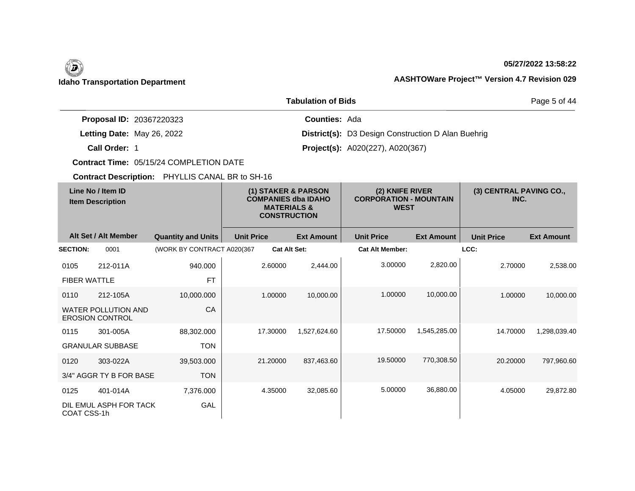#### **05/27/2022 13:58:22**

### **Idaho Transportation Department AASHTOWare Project™ Version 4.7 Revision 029**

|                                 | Page 5 of 44                                              |  |
|---------------------------------|-----------------------------------------------------------|--|
| <b>Proposal ID: 20367220323</b> | <b>Counties: Ada</b>                                      |  |
| Letting Date: May 26, 2022      | <b>District(s):</b> D3 Design Construction D Alan Buehrig |  |
| Call Order: 1                   | <b>Project(s):</b> A020(227), A020(367)                   |  |

**Contract Time:** 05/15/24 COMPLETION DATE

| Line No / Item ID<br><b>Item Description</b> |                                                      | (1) STAKER & PARSON<br><b>COMPANIES dba IDAHO</b><br><b>MATERIALS &amp;</b><br><b>CONSTRUCTION</b> |                   | (2) KNIFE RIVER<br><b>CORPORATION - MOUNTAIN</b><br><b>WEST</b> |                        | (3) CENTRAL PAVING CO.,<br>INC. |                   |                   |
|----------------------------------------------|------------------------------------------------------|----------------------------------------------------------------------------------------------------|-------------------|-----------------------------------------------------------------|------------------------|---------------------------------|-------------------|-------------------|
|                                              | Alt Set / Alt Member                                 | <b>Quantity and Units</b>                                                                          | <b>Unit Price</b> | <b>Ext Amount</b>                                               | <b>Unit Price</b>      | <b>Ext Amount</b>               | <b>Unit Price</b> | <b>Ext Amount</b> |
| <b>SECTION:</b>                              | 0001                                                 | (WORK BY CONTRACT A020(367                                                                         |                   | <b>Cat Alt Set:</b>                                             | <b>Cat Alt Member:</b> |                                 | LCC:              |                   |
| 0105                                         | 212-011A                                             | 940.000                                                                                            | 2.60000           | 2,444.00                                                        | 3.00000                | 2,820.00                        | 2.70000           | 2,538.00          |
| <b>FIBER WATTLE</b>                          |                                                      | <b>FT</b>                                                                                          |                   |                                                                 |                        |                                 |                   |                   |
| 0110                                         | 212-105A                                             | 10,000.000                                                                                         | 1.00000           | 10,000.00                                                       | 1.00000                | 10,000.00                       | 1.00000           | 10,000.00         |
|                                              | <b>WATER POLLUTION AND</b><br><b>EROSION CONTROL</b> | CA                                                                                                 |                   |                                                                 |                        |                                 |                   |                   |
| 0115                                         | 301-005A                                             | 88,302.000                                                                                         | 17.30000          | 1,527,624.60                                                    | 17.50000               | 1,545,285.00                    | 14.70000          | 1,298,039.40      |
|                                              | <b>GRANULAR SUBBASE</b>                              | <b>TON</b>                                                                                         |                   |                                                                 |                        |                                 |                   |                   |
| 0120                                         | 303-022A                                             | 39,503.000                                                                                         | 21.20000          | 837,463.60                                                      | 19.50000               | 770,308.50                      | 20.20000          | 797,960.60        |
|                                              | 3/4" AGGR TY B FOR BASE                              | <b>TON</b>                                                                                         |                   |                                                                 |                        |                                 |                   |                   |
| 0125                                         | 401-014A                                             | 7,376.000                                                                                          | 4.35000           | 32,085.60                                                       | 5.00000                | 36,880.00                       | 4.05000           | 29,872.80         |
| COAT CSS-1h                                  | DIL EMUL ASPH FOR TACK                               | GAL                                                                                                |                   |                                                                 |                        |                                 |                   |                   |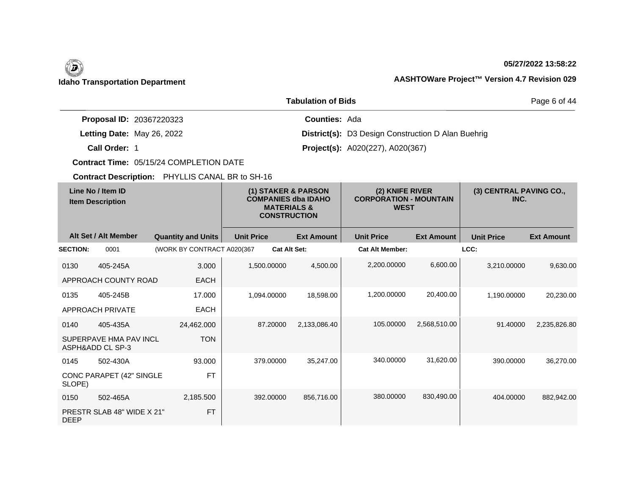#### **05/27/2022 13:58:22**

|                                 | Page 6 of 44                                              |  |
|---------------------------------|-----------------------------------------------------------|--|
| <b>Proposal ID: 20367220323</b> | <b>Counties: Ada</b>                                      |  |
| Letting Date: May 26, 2022      | <b>District(s):</b> D3 Design Construction D Alan Buehrig |  |
| Call Order: 1                   | <b>Project(s):</b> A020(227), A020(367)                   |  |

**Contract Time:** 05/15/24 COMPLETION DATE

| Line No / Item ID<br><b>Item Description</b> |                                            | (1) STAKER & PARSON<br><b>COMPANIES dba IDAHO</b><br><b>MATERIALS &amp;</b><br><b>CONSTRUCTION</b> |                   | (2) KNIFE RIVER<br><b>CORPORATION - MOUNTAIN</b><br><b>WEST</b> |                   | (3) CENTRAL PAVING CO.,<br>INC. |                   |                   |                   |
|----------------------------------------------|--------------------------------------------|----------------------------------------------------------------------------------------------------|-------------------|-----------------------------------------------------------------|-------------------|---------------------------------|-------------------|-------------------|-------------------|
|                                              | Alt Set / Alt Member                       | <b>Quantity and Units</b>                                                                          | <b>Unit Price</b> |                                                                 | <b>Ext Amount</b> | <b>Unit Price</b>               | <b>Ext Amount</b> | <b>Unit Price</b> | <b>Ext Amount</b> |
| <b>SECTION:</b>                              | 0001                                       | (WORK BY CONTRACT A020(367                                                                         |                   | <b>Cat Alt Set:</b>                                             |                   | <b>Cat Alt Member:</b>          |                   | LCC:              |                   |
| 0130                                         | 405-245A                                   | 3.000                                                                                              |                   | 1,500.00000                                                     | 4,500.00          | 2,200.00000                     | 6,600.00          | 3,210.00000       | 9,630.00          |
|                                              | APPROACH COUNTY ROAD                       | <b>EACH</b>                                                                                        |                   |                                                                 |                   |                                 |                   |                   |                   |
| 0135                                         | 405-245B                                   | 17.000                                                                                             |                   | 1,094.00000                                                     | 18,598.00         | 1,200.00000                     | 20,400.00         | 1,190.00000       | 20,230.00         |
|                                              | APPROACH PRIVATE                           | <b>EACH</b>                                                                                        |                   |                                                                 |                   |                                 |                   |                   |                   |
| 0140                                         | 405-435A                                   | 24,462.000                                                                                         |                   | 87.20000                                                        | 2,133,086.40      | 105.00000                       | 2,568,510.00      | 91.40000          | 2,235,826.80      |
|                                              | SUPERPAVE HMA PAV INCL<br>ASPH&ADD CL SP-3 | <b>TON</b>                                                                                         |                   |                                                                 |                   |                                 |                   |                   |                   |
| 0145                                         | 502-430A                                   | 93.000                                                                                             |                   | 379.00000                                                       | 35,247.00         | 340.00000                       | 31,620.00         | 390.00000         | 36,270.00         |
| SLOPE)                                       | CONC PARAPET (42" SINGLE                   | <b>FT</b>                                                                                          |                   |                                                                 |                   |                                 |                   |                   |                   |
| 0150                                         | 502-465A                                   | 2,185.500                                                                                          |                   | 392.00000                                                       | 856,716.00        | 380.00000                       | 830,490.00        | 404.00000         | 882,942.00        |
| <b>DEEP</b>                                  | PRESTR SLAB 48" WIDE X 21"                 | <b>FT</b>                                                                                          |                   |                                                                 |                   |                                 |                   |                   |                   |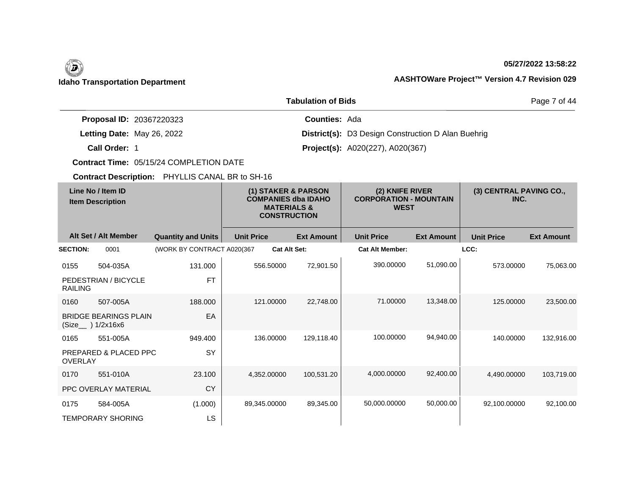#### **05/27/2022 13:58:22**

### **Idaho Transportation Department AASHTOWare Project™ Version 4.7 Revision 029**

|                                 | Page 7 of 44                                              |  |
|---------------------------------|-----------------------------------------------------------|--|
| <b>Proposal ID: 20367220323</b> | <b>Counties: Ada</b>                                      |  |
| Letting Date: May 26, 2022      | <b>District(s):</b> D3 Design Construction D Alan Buehrig |  |
| Call Order: 1                   | <b>Project(s):</b> A020(227), A020(367)                   |  |

**Contract Time:** 05/15/24 COMPLETION DATE

| Line No / Item ID<br><b>Item Description</b> |                              | (1) STAKER & PARSON<br><b>COMPANIES dba IDAHO</b><br><b>MATERIALS &amp;</b><br><b>CONSTRUCTION</b> |                   | (2) KNIFE RIVER<br><b>CORPORATION - MOUNTAIN</b><br><b>WEST</b> |                   | (3) CENTRAL PAVING CO.,<br>INC. |                   |                   |                   |
|----------------------------------------------|------------------------------|----------------------------------------------------------------------------------------------------|-------------------|-----------------------------------------------------------------|-------------------|---------------------------------|-------------------|-------------------|-------------------|
|                                              | Alt Set / Alt Member         | <b>Quantity and Units</b>                                                                          | <b>Unit Price</b> |                                                                 | <b>Ext Amount</b> | <b>Unit Price</b>               | <b>Ext Amount</b> | <b>Unit Price</b> | <b>Ext Amount</b> |
| <b>SECTION:</b>                              | 0001                         | (WORK BY CONTRACT A020(367                                                                         |                   | <b>Cat Alt Set:</b>                                             |                   | <b>Cat Alt Member:</b>          |                   | LCC:              |                   |
| 0155                                         | 504-035A                     | 131.000                                                                                            |                   | 556.50000                                                       | 72,901.50         | 390.00000                       | 51,090.00         | 573.00000         | 75,063.00         |
| <b>RAILING</b>                               | PEDESTRIAN / BICYCLE         | <b>FT</b>                                                                                          |                   |                                                                 |                   |                                 |                   |                   |                   |
| 0160                                         | 507-005A                     | 188.000                                                                                            |                   | 121.00000                                                       | 22,748.00         | 71.00000                        | 13,348.00         | 125.00000         | 23,500.00         |
| (Size__ ) 1/2x16x6                           | <b>BRIDGE BEARINGS PLAIN</b> | EA                                                                                                 |                   |                                                                 |                   |                                 |                   |                   |                   |
| 0165                                         | 551-005A                     | 949.400                                                                                            |                   | 136.00000                                                       | 129,118.40        | 100.00000                       | 94,940.00         | 140.00000         | 132,916.00        |
| <b>OVERLAY</b>                               | PREPARED & PLACED PPC        | <b>SY</b>                                                                                          |                   |                                                                 |                   |                                 |                   |                   |                   |
| 0170                                         | 551-010A                     | 23.100                                                                                             |                   | 4.352.00000                                                     | 100,531.20        | 4.000.00000                     | 92.400.00         | 4.490.00000       | 103,719.00        |
|                                              | <b>PPC OVERLAY MATERIAL</b>  | <b>CY</b>                                                                                          |                   |                                                                 |                   |                                 |                   |                   |                   |
| 0175                                         | 584-005A                     | (1.000)                                                                                            | 89,345.00000      |                                                                 | 89,345.00         | 50,000.00000                    | 50,000.00         | 92,100.00000      | 92,100.00         |
|                                              | <b>TEMPORARY SHORING</b>     | LS                                                                                                 |                   |                                                                 |                   |                                 |                   |                   |                   |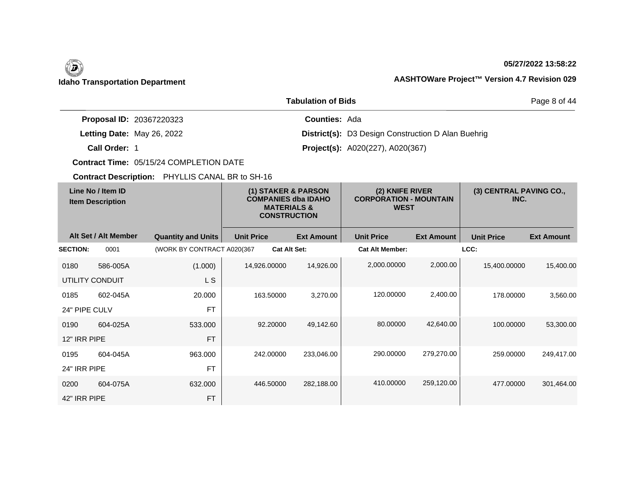#### **05/27/2022 13:58:22**

|                                 | Page 8 of 44                                              |  |
|---------------------------------|-----------------------------------------------------------|--|
| <b>Proposal ID: 20367220323</b> | <b>Counties: Ada</b>                                      |  |
| Letting Date: May 26, 2022      | <b>District(s):</b> D3 Design Construction D Alan Buehrig |  |
| Call Order: 1                   | <b>Project(s):</b> A020(227), A020(367)                   |  |

**Contract Time:** 05/15/24 COMPLETION DATE

| Line No / Item ID<br><b>Item Description</b> |                      |                            | (1) STAKER & PARSON<br><b>COMPANIES dba IDAHO</b><br><b>MATERIALS &amp;</b><br><b>CONSTRUCTION</b> | (2) KNIFE RIVER<br><b>CORPORATION - MOUNTAIN</b><br><b>WEST</b> |                        | (3) CENTRAL PAVING CO.,<br>INC. |                   |                   |
|----------------------------------------------|----------------------|----------------------------|----------------------------------------------------------------------------------------------------|-----------------------------------------------------------------|------------------------|---------------------------------|-------------------|-------------------|
|                                              | Alt Set / Alt Member | <b>Quantity and Units</b>  | <b>Unit Price</b>                                                                                  | <b>Ext Amount</b>                                               | <b>Unit Price</b>      | <b>Ext Amount</b>               | <b>Unit Price</b> | <b>Ext Amount</b> |
| <b>SECTION:</b>                              | 0001                 | (WORK BY CONTRACT A020(367 |                                                                                                    | <b>Cat Alt Set:</b>                                             | <b>Cat Alt Member:</b> |                                 | LCC:              |                   |
| 0180                                         | 586-005A             | (1.000)                    | 14,926.00000                                                                                       | 14,926.00                                                       | 2,000.00000            | 2,000.00                        | 15,400.00000      | 15,400.00         |
| UTILITY CONDUIT                              |                      | L S                        |                                                                                                    |                                                                 |                        |                                 |                   |                   |
| 0185                                         | 602-045A             | 20.000                     | 163.50000                                                                                          | 3,270.00                                                        | 120.00000              | 2,400.00                        | 178.00000         | 3,560.00          |
| 24" PIPE CULV                                |                      | <b>FT</b>                  |                                                                                                    |                                                                 |                        |                                 |                   |                   |
| 0190                                         | 604-025A             | 533.000                    | 92.20000                                                                                           | 49,142.60                                                       | 80.00000               | 42,640.00                       | 100.00000         | 53,300.00         |
| 12" IRR PIPE                                 |                      | <b>FT</b>                  |                                                                                                    |                                                                 |                        |                                 |                   |                   |
| 0195                                         | 604-045A             | 963.000                    | 242.00000                                                                                          | 233,046.00                                                      | 290.00000              | 279,270.00                      | 259.00000         | 249,417.00        |
| 24" IRR PIPE                                 |                      | <b>FT</b>                  |                                                                                                    |                                                                 |                        |                                 |                   |                   |
| 0200                                         | 604-075A             | 632.000                    | 446.50000                                                                                          | 282,188.00                                                      | 410.00000              | 259,120.00                      | 477,00000         | 301,464.00        |
| 42" IRR PIPE                                 |                      | <b>FT</b>                  |                                                                                                    |                                                                 |                        |                                 |                   |                   |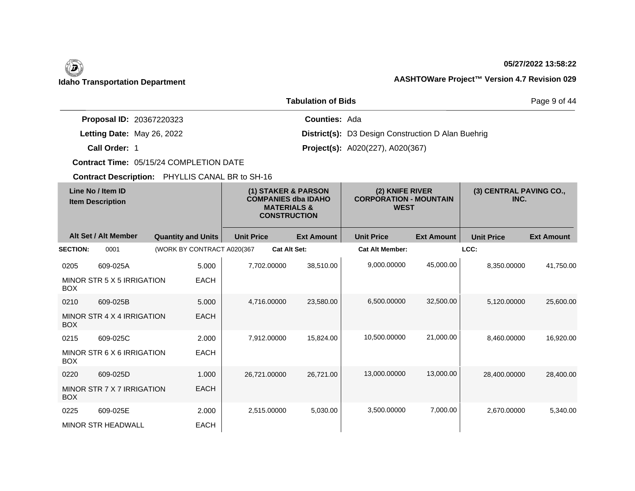#### **05/27/2022 13:58:22**

### **Idaho Transportation Department AASHTOWare Project™ Version 4.7 Revision 029**

|                                 | Page 9 of 44                                              |  |
|---------------------------------|-----------------------------------------------------------|--|
| <b>Proposal ID: 20367220323</b> | <b>Counties: Ada</b>                                      |  |
| Letting Date: May 26, 2022      | <b>District(s):</b> D3 Design Construction D Alan Buehrig |  |
| Call Order: 1                   | <b>Project(s):</b> A020(227), A020(367)                   |  |

**Contract Time:** 05/15/24 COMPLETION DATE

| Line No / Item ID<br><b>Item Description</b> |                            | (1) STAKER & PARSON<br><b>COMPANIES dba IDAHO</b><br><b>MATERIALS &amp;</b><br><b>CONSTRUCTION</b> |                   | (2) KNIFE RIVER<br><b>CORPORATION - MOUNTAIN</b><br><b>WEST</b> |                        | (3) CENTRAL PAVING CO.,<br>INC. |                   |                   |
|----------------------------------------------|----------------------------|----------------------------------------------------------------------------------------------------|-------------------|-----------------------------------------------------------------|------------------------|---------------------------------|-------------------|-------------------|
|                                              | Alt Set / Alt Member       | <b>Quantity and Units</b>                                                                          | <b>Unit Price</b> | <b>Ext Amount</b>                                               | <b>Unit Price</b>      | <b>Ext Amount</b>               | <b>Unit Price</b> | <b>Ext Amount</b> |
| <b>SECTION:</b>                              | 0001                       | (WORK BY CONTRACT A020(367                                                                         |                   | <b>Cat Alt Set:</b>                                             | <b>Cat Alt Member:</b> |                                 | LCC:              |                   |
| 0205                                         | 609-025A                   | 5.000                                                                                              | 7.702.00000       | 38,510.00                                                       | 9,000.00000            | 45,000.00                       | 8.350.00000       | 41,750.00         |
| <b>BOX</b>                                   | MINOR STR 5 X 5 IRRIGATION | <b>EACH</b>                                                                                        |                   |                                                                 |                        |                                 |                   |                   |
| 0210                                         | 609-025B                   | 5.000                                                                                              | 4,716.00000       | 23,580.00                                                       | 6,500.00000            | 32,500.00                       | 5,120.00000       | 25,600.00         |
| <b>BOX</b>                                   | MINOR STR 4 X 4 IRRIGATION | <b>EACH</b>                                                                                        |                   |                                                                 |                        |                                 |                   |                   |
| 0215                                         | 609-025C                   | 2.000                                                                                              | 7,912.00000       | 15,824.00                                                       | 10,500.00000           | 21,000.00                       | 8,460.00000       | 16,920.00         |
| <b>BOX</b>                                   | MINOR STR 6 X 6 IRRIGATION | <b>EACH</b>                                                                                        |                   |                                                                 |                        |                                 |                   |                   |
| 0220                                         | 609-025D                   | 1.000                                                                                              | 26,721.00000      | 26,721.00                                                       | 13,000.00000           | 13,000.00                       | 28,400.00000      | 28,400.00         |
| <b>BOX</b>                                   | MINOR STR 7 X 7 IRRIGATION | <b>EACH</b>                                                                                        |                   |                                                                 |                        |                                 |                   |                   |
| 0225                                         | 609-025E                   | 2.000                                                                                              | 2,515.00000       | 5,030.00                                                        | 3,500.00000            | 7,000.00                        | 2,670.00000       | 5,340.00          |
|                                              | <b>MINOR STR HEADWALL</b>  | <b>EACH</b>                                                                                        |                   |                                                                 |                        |                                 |                   |                   |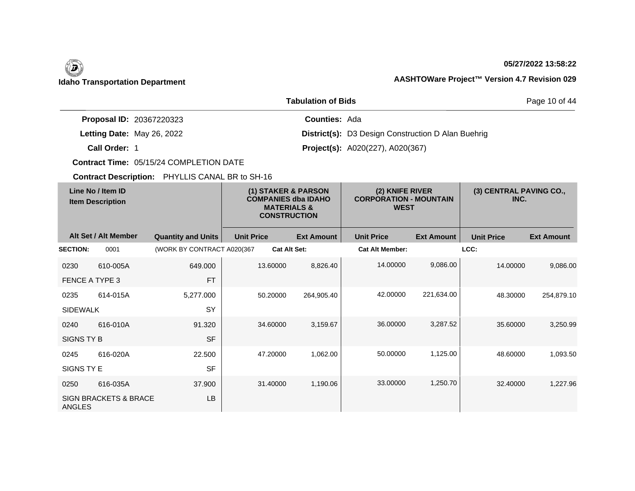### **05/27/2022 13:58:22**

### **Idaho Transportation Department AASHTOWare Project™ Version 4.7 Revision 029**

|                                 | Page 10 of 44                                             |  |
|---------------------------------|-----------------------------------------------------------|--|
| <b>Proposal ID: 20367220323</b> | <b>Counties: Ada</b>                                      |  |
| Letting Date: May 26, 2022      | <b>District(s):</b> D3 Design Construction D Alan Buehrig |  |
| Call Order: 1                   | <b>Project(s):</b> A020(227), A020(367)                   |  |

**Contract Time:** 05/15/24 COMPLETION DATE

| Line No / Item ID<br><b>Item Description</b> |                                  | (1) STAKER & PARSON<br><b>COMPANIES dba IDAHO</b><br><b>MATERIALS &amp;</b><br><b>CONSTRUCTION</b> |                   | (2) KNIFE RIVER<br><b>CORPORATION - MOUNTAIN</b><br><b>WEST</b> |                        | (3) CENTRAL PAVING CO.,<br>INC. |                   |                   |
|----------------------------------------------|----------------------------------|----------------------------------------------------------------------------------------------------|-------------------|-----------------------------------------------------------------|------------------------|---------------------------------|-------------------|-------------------|
|                                              | Alt Set / Alt Member             | <b>Quantity and Units</b>                                                                          | <b>Unit Price</b> | <b>Ext Amount</b>                                               | <b>Unit Price</b>      | <b>Ext Amount</b>               | <b>Unit Price</b> | <b>Ext Amount</b> |
| <b>SECTION:</b>                              | 0001                             | (WORK BY CONTRACT A020(367                                                                         |                   | <b>Cat Alt Set:</b>                                             | <b>Cat Alt Member:</b> |                                 | LCC:              |                   |
| 0230                                         | 610-005A                         | 649,000                                                                                            | 13.60000          | 8,826.40                                                        | 14.00000               | 9,086.00                        | 14.00000          | 9,086.00          |
| FENCE A TYPE 3                               |                                  | <b>FT</b>                                                                                          |                   |                                                                 |                        |                                 |                   |                   |
| 0235                                         | 614-015A                         | 5,277.000                                                                                          | 50.20000          | 264,905.40                                                      | 42.00000               | 221,634.00                      | 48.30000          | 254,879.10        |
| <b>SIDEWALK</b>                              |                                  | SY                                                                                                 |                   |                                                                 |                        |                                 |                   |                   |
| 0240                                         | 616-010A                         | 91.320                                                                                             | 34.60000          | 3,159.67                                                        | 36.00000               | 3,287.52                        | 35,60000          | 3,250.99          |
| SIGNS TY B                                   |                                  | <b>SF</b>                                                                                          |                   |                                                                 |                        |                                 |                   |                   |
| 0245                                         | 616-020A                         | 22.500                                                                                             | 47.20000          | 1,062.00                                                        | 50.00000               | 1,125.00                        | 48.60000          | 1,093.50          |
| SIGNS TY E                                   |                                  | <b>SF</b>                                                                                          |                   |                                                                 |                        |                                 |                   |                   |
| 0250                                         | 616-035A                         | 37.900                                                                                             | 31.40000          | 1,190.06                                                        | 33.00000               | 1,250.70                        | 32.40000          | 1,227.96          |
| <b>ANGLES</b>                                | <b>SIGN BRACKETS &amp; BRACE</b> | <b>LB</b>                                                                                          |                   |                                                                 |                        |                                 |                   |                   |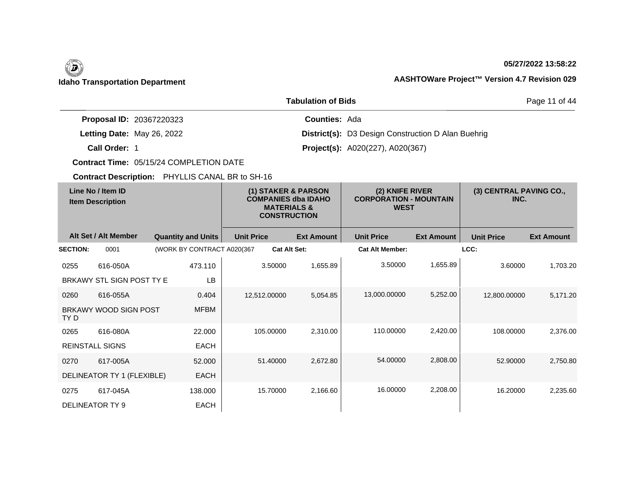### **05/27/2022 13:58:22**

### **Idaho Transportation Department AASHTOWare Project™ Version 4.7 Revision 029**

|                                 | Page 11 of 44                                             |  |
|---------------------------------|-----------------------------------------------------------|--|
| <b>Proposal ID: 20367220323</b> | <b>Counties: Ada</b>                                      |  |
| Letting Date: May 26, 2022      | <b>District(s):</b> D3 Design Construction D Alan Buehrig |  |
| Call Order: 1                   | <b>Project(s):</b> A020(227), A020(367)                   |  |

**Contract Time:** 05/15/24 COMPLETION DATE

| Line No / Item ID<br><b>Item Description</b> |                            | (1) STAKER & PARSON<br><b>COMPANIES dba IDAHO</b><br><b>MATERIALS &amp;</b><br><b>CONSTRUCTION</b> |                   | (2) KNIFE RIVER<br><b>CORPORATION - MOUNTAIN</b><br><b>WEST</b> |                        | (3) CENTRAL PAVING CO.,<br>INC. |                   |                   |
|----------------------------------------------|----------------------------|----------------------------------------------------------------------------------------------------|-------------------|-----------------------------------------------------------------|------------------------|---------------------------------|-------------------|-------------------|
|                                              | Alt Set / Alt Member       | <b>Quantity and Units</b>                                                                          | <b>Unit Price</b> | <b>Ext Amount</b>                                               | <b>Unit Price</b>      | <b>Ext Amount</b>               | <b>Unit Price</b> | <b>Ext Amount</b> |
| <b>SECTION:</b>                              | 0001                       | (WORK BY CONTRACT A020(367                                                                         |                   | <b>Cat Alt Set:</b>                                             | <b>Cat Alt Member:</b> |                                 | LCC:              |                   |
| 0255                                         | 616-050A                   | 473.110                                                                                            | 3.50000           | 1,655.89                                                        | 3.50000                | 1,655.89                        | 3.60000           | 1,703.20          |
|                                              | BRKAWY STL SIGN POST TY E  | <b>LB</b>                                                                                          |                   |                                                                 |                        |                                 |                   |                   |
| 0260                                         | 616-055A                   | 0.404                                                                                              | 12,512.00000      | 5,054.85                                                        | 13,000.00000           | 5,252.00                        | 12,800.00000      | 5,171.20          |
| TY D                                         | BRKAWY WOOD SIGN POST      | <b>MFBM</b>                                                                                        |                   |                                                                 |                        |                                 |                   |                   |
| 0265                                         | 616-080A                   | 22,000                                                                                             | 105.00000         | 2,310.00                                                        | 110.00000              | 2,420.00                        | 108.00000         | 2,376.00          |
| <b>REINSTALL SIGNS</b>                       |                            | EACH                                                                                               |                   |                                                                 |                        |                                 |                   |                   |
| 0270                                         | 617-005A                   | 52.000                                                                                             | 51.40000          | 2,672.80                                                        | 54.00000               | 2,808.00                        | 52.90000          | 2,750.80          |
|                                              | DELINEATOR TY 1 (FLEXIBLE) | <b>EACH</b>                                                                                        |                   |                                                                 |                        |                                 |                   |                   |
| 0275                                         | 617-045A                   | 138.000                                                                                            | 15.70000          | 2,166.60                                                        | 16.00000               | 2,208.00                        | 16.20000          | 2,235.60          |
| <b>DELINEATOR TY 9</b>                       |                            | <b>EACH</b>                                                                                        |                   |                                                                 |                        |                                 |                   |                   |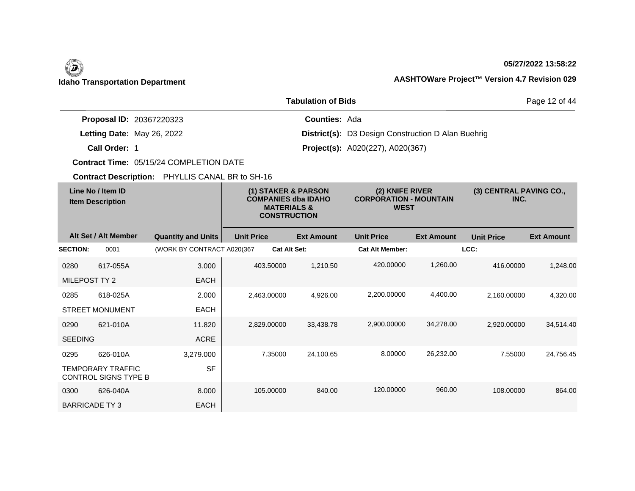### **05/27/2022 13:58:22**

Page 12 of 44

|                                 | <b>Tabulation of Bids</b>                                 |
|---------------------------------|-----------------------------------------------------------|
| <b>Proposal ID: 20367220323</b> | <b>Counties: Ada</b>                                      |
| Letting Date: May 26, 2022      | <b>District(s):</b> D3 Design Construction D Alan Buehrig |
| Call Order: 1                   | <b>Project(s):</b> A020(227), A020(367)                   |

**Contract Time:** 05/15/24 COMPLETION DATE

| Line No / Item ID<br><b>Item Description</b> |                                                  | (1) STAKER & PARSON<br><b>COMPANIES dba IDAHO</b><br><b>MATERIALS &amp;</b><br><b>CONSTRUCTION</b> |                   |                     | (2) KNIFE RIVER<br><b>CORPORATION - MOUNTAIN</b><br><b>WEST</b> |                        | (3) CENTRAL PAVING CO.,<br>INC. |                   |                   |
|----------------------------------------------|--------------------------------------------------|----------------------------------------------------------------------------------------------------|-------------------|---------------------|-----------------------------------------------------------------|------------------------|---------------------------------|-------------------|-------------------|
|                                              | Alt Set / Alt Member                             | <b>Quantity and Units</b>                                                                          | <b>Unit Price</b> |                     | <b>Ext Amount</b>                                               | <b>Unit Price</b>      | <b>Ext Amount</b>               | <b>Unit Price</b> | <b>Ext Amount</b> |
| <b>SECTION:</b>                              | 0001                                             | (WORK BY CONTRACT A020(367                                                                         |                   | <b>Cat Alt Set:</b> |                                                                 | <b>Cat Alt Member:</b> |                                 | LCC:              |                   |
| 0280                                         | 617-055A                                         | 3.000                                                                                              |                   | 403.50000           | 1,210.50                                                        | 420.00000              | 1,260.00                        | 416.00000         | 1,248.00          |
| MILEPOST TY 2                                |                                                  | <b>EACH</b>                                                                                        |                   |                     |                                                                 |                        |                                 |                   |                   |
| 0285                                         | 618-025A                                         | 2.000                                                                                              | 2,463.00000       |                     | 4,926.00                                                        | 2,200.00000            | 4,400.00                        | 2,160.00000       | 4,320.00          |
|                                              | <b>STREET MONUMENT</b>                           | <b>EACH</b>                                                                                        |                   |                     |                                                                 |                        |                                 |                   |                   |
| 0290                                         | 621-010A                                         | 11.820                                                                                             | 2,829.00000       |                     | 33,438.78                                                       | 2,900.00000            | 34,278.00                       | 2,920.00000       | 34,514.40         |
| <b>SEEDING</b>                               |                                                  | ACRE                                                                                               |                   |                     |                                                                 |                        |                                 |                   |                   |
| 0295                                         | 626-010A                                         | 3,279.000                                                                                          |                   | 7.35000             | 24,100.65                                                       | 8.00000                | 26,232.00                       | 7.55000           | 24,756.45         |
|                                              | <b>TEMPORARY TRAFFIC</b><br>CONTROL SIGNS TYPE B | <b>SF</b>                                                                                          |                   |                     |                                                                 |                        |                                 |                   |                   |
| 0300                                         | 626-040A                                         | 8.000                                                                                              |                   | 105.00000           | 840.00                                                          | 120.00000              | 960.00                          | 108,00000         | 864.00            |
| <b>BARRICADE TY3</b>                         |                                                  | <b>EACH</b>                                                                                        |                   |                     |                                                                 |                        |                                 |                   |                   |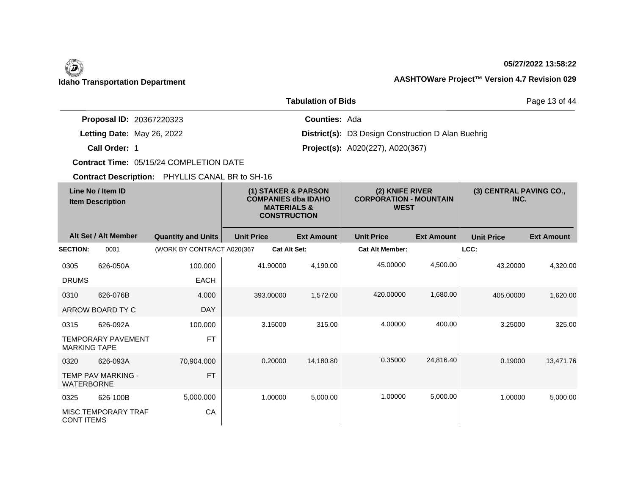### **05/27/2022 13:58:22**

### **Idaho Transportation Department AASHTOWare Project™ Version 4.7 Revision 029**

|                                 | Page 13 of 44                                             |  |
|---------------------------------|-----------------------------------------------------------|--|
| <b>Proposal ID: 20367220323</b> | <b>Counties: Ada</b>                                      |  |
| Letting Date: May 26, 2022      | <b>District(s):</b> D3 Design Construction D Alan Buehrig |  |
| Call Order: 1                   | <b>Project(s):</b> A020(227), A020(367)                   |  |

**Contract Time:** 05/15/24 COMPLETION DATE

| Line No / Item ID<br><b>Item Description</b> |                           | (1) STAKER & PARSON<br><b>COMPANIES dba IDAHO</b><br><b>MATERIALS &amp;</b><br><b>CONSTRUCTION</b> |                   | (2) KNIFE RIVER<br><b>CORPORATION - MOUNTAIN</b><br><b>WEST</b> |                   | (3) CENTRAL PAVING CO.,<br>INC. |                   |                   |                   |
|----------------------------------------------|---------------------------|----------------------------------------------------------------------------------------------------|-------------------|-----------------------------------------------------------------|-------------------|---------------------------------|-------------------|-------------------|-------------------|
|                                              | Alt Set / Alt Member      | <b>Quantity and Units</b>                                                                          | <b>Unit Price</b> |                                                                 | <b>Ext Amount</b> | <b>Unit Price</b>               | <b>Ext Amount</b> | <b>Unit Price</b> | <b>Ext Amount</b> |
| <b>SECTION:</b>                              | 0001                      | (WORK BY CONTRACT A020(367                                                                         |                   | <b>Cat Alt Set:</b>                                             |                   | <b>Cat Alt Member:</b>          |                   | LCC:              |                   |
| 0305                                         | 626-050A                  | 100.000                                                                                            |                   | 41.90000                                                        | 4,190.00          | 45.00000                        | 4,500.00          | 43.20000          | 4,320.00          |
| <b>DRUMS</b>                                 |                           | <b>EACH</b>                                                                                        |                   |                                                                 |                   |                                 |                   |                   |                   |
| 0310                                         | 626-076B                  | 4.000                                                                                              |                   | 393.00000                                                       | 1,572.00          | 420,00000                       | 1,680.00          | 405.00000         | 1,620.00          |
|                                              | ARROW BOARD TY C          | <b>DAY</b>                                                                                         |                   |                                                                 |                   |                                 |                   |                   |                   |
| 0315                                         | 626-092A                  | 100.000                                                                                            |                   | 3.15000                                                         | 315.00            | 4.00000                         | 400.00            | 3.25000           | 325.00            |
| <b>MARKING TAPE</b>                          | <b>TEMPORARY PAVEMENT</b> | <b>FT</b>                                                                                          |                   |                                                                 |                   |                                 |                   |                   |                   |
| 0320                                         | 626-093A                  | 70,904.000                                                                                         |                   | 0.20000                                                         | 14,180.80         | 0.35000                         | 24,816.40         | 0.19000           | 13.471.76         |
| <b>WATERBORNE</b>                            | <b>TEMP PAV MARKING -</b> | <b>FT</b>                                                                                          |                   |                                                                 |                   |                                 |                   |                   |                   |
| 0325                                         | 626-100B                  | 5,000.000                                                                                          |                   | 1.00000                                                         | 5,000.00          | 1.00000                         | 5,000.00          | 1.00000           | 5,000.00          |
| <b>CONT ITEMS</b>                            | MISC TEMPORARY TRAF       | CA                                                                                                 |                   |                                                                 |                   |                                 |                   |                   |                   |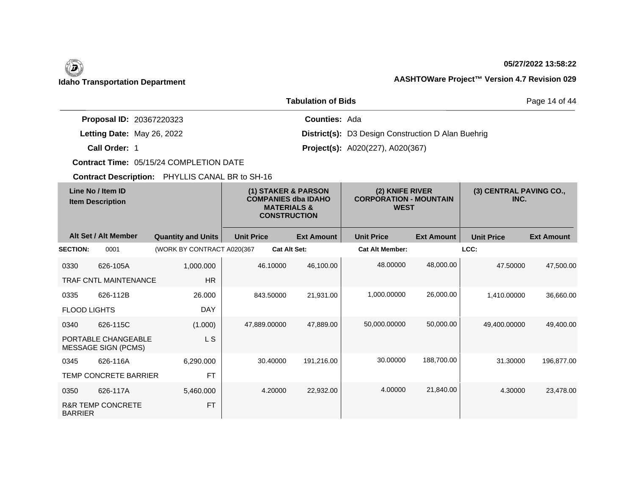## $\left(\begin{matrix} \n\end{matrix}\right)$

### **05/27/2022 13:58:22**

### **Idaho Transportation Department AASHTOWare Project™ Version 4.7 Revision 029**

|                                 | Page 14 of 44                                             |  |
|---------------------------------|-----------------------------------------------------------|--|
| <b>Proposal ID: 20367220323</b> | <b>Counties: Ada</b>                                      |  |
| Letting Date: May 26, 2022      | <b>District(s):</b> D3 Design Construction D Alan Buehrig |  |
| Call Order: 1                   | <b>Project(s):</b> A020(227), A020(367)                   |  |

**Contract Time:** 05/15/24 COMPLETION DATE

| Line No / Item ID<br><b>Item Description</b> |                                                   | (1) STAKER & PARSON<br><b>COMPANIES dba IDAHO</b><br><b>MATERIALS &amp;</b><br><b>CONSTRUCTION</b> |                   |                     | (2) KNIFE RIVER<br><b>CORPORATION - MOUNTAIN</b><br><b>WEST</b> |                        | (3) CENTRAL PAVING CO.,<br>INC. |                   |                   |
|----------------------------------------------|---------------------------------------------------|----------------------------------------------------------------------------------------------------|-------------------|---------------------|-----------------------------------------------------------------|------------------------|---------------------------------|-------------------|-------------------|
|                                              | Alt Set / Alt Member                              | <b>Quantity and Units</b>                                                                          | <b>Unit Price</b> |                     | <b>Ext Amount</b>                                               | <b>Unit Price</b>      | <b>Ext Amount</b>               | <b>Unit Price</b> | <b>Ext Amount</b> |
| <b>SECTION:</b>                              | 0001                                              | (WORK BY CONTRACT A020(367                                                                         |                   | <b>Cat Alt Set:</b> |                                                                 | <b>Cat Alt Member:</b> |                                 | LCC:              |                   |
| 0330                                         | 626-105A                                          | 1,000.000                                                                                          |                   | 46.10000            | 46,100.00                                                       | 48.00000               | 48,000.00                       | 47.50000          | 47,500.00         |
|                                              | <b>TRAF CNTL MAINTENANCE</b>                      | <b>HR</b>                                                                                          |                   |                     |                                                                 |                        |                                 |                   |                   |
| 0335                                         | 626-112B                                          | 26.000                                                                                             |                   | 843.50000           | 21,931.00                                                       | 1.000.00000            | 26,000.00                       | 1.410.00000       | 36,660.00         |
| <b>FLOOD LIGHTS</b>                          |                                                   | <b>DAY</b>                                                                                         |                   |                     |                                                                 |                        |                                 |                   |                   |
| 0340                                         | 626-115C                                          | (1.000)                                                                                            |                   | 47,889.00000        | 47,889.00                                                       | 50,000.00000           | 50,000.00                       | 49,400.00000      | 49,400.00         |
|                                              | PORTABLE CHANGEABLE<br><b>MESSAGE SIGN (PCMS)</b> | <b>LS</b>                                                                                          |                   |                     |                                                                 |                        |                                 |                   |                   |
| 0345                                         | 626-116A                                          | 6,290.000                                                                                          |                   | 30.40000            | 191,216.00                                                      | 30.00000               | 188,700.00                      | 31.30000          | 196,877.00        |
|                                              | TEMP CONCRETE BARRIER                             | <b>FT</b>                                                                                          |                   |                     |                                                                 |                        |                                 |                   |                   |
| 0350                                         | 626-117A                                          | 5,460.000                                                                                          |                   | 4.20000             | 22,932.00                                                       | 4.00000                | 21,840.00                       | 4.30000           | 23,478.00         |
| <b>BARRIER</b>                               | <b>R&amp;R TEMP CONCRETE</b>                      | <b>FT</b>                                                                                          |                   |                     |                                                                 |                        |                                 |                   |                   |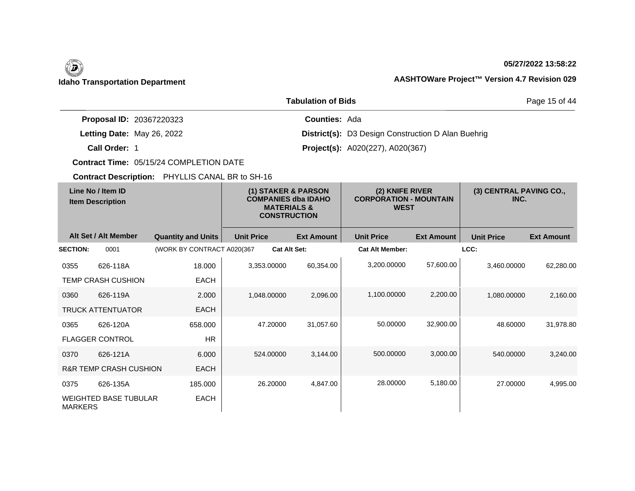## $\left(\begin{matrix} \n\end{matrix}\right)$

### **05/27/2022 13:58:22**

Page 15 of 44

### **Idaho Transportation Department AASHTOWare Project™ Version 4.7 Revision 029**

|                                 | <b>Tabulation of Bids</b>                                 |
|---------------------------------|-----------------------------------------------------------|
| <b>Proposal ID: 20367220323</b> | <b>Counties: Ada</b>                                      |
| Letting Date: May 26, 2022      | <b>District(s):</b> D3 Design Construction D Alan Buehrig |
| Call Order: 1                   | <b>Project(s):</b> A020(227), A020(367)                   |

**Contract Time:** 05/15/24 COMPLETION DATE

| Line No / Item ID<br><b>Item Description</b> |                                   | (1) STAKER & PARSON<br><b>COMPANIES dba IDAHO</b><br><b>MATERIALS &amp;</b><br><b>CONSTRUCTION</b> |                   | (2) KNIFE RIVER<br><b>CORPORATION - MOUNTAIN</b><br><b>WEST</b> |                   | (3) CENTRAL PAVING CO.,<br>INC. |                   |                   |                   |
|----------------------------------------------|-----------------------------------|----------------------------------------------------------------------------------------------------|-------------------|-----------------------------------------------------------------|-------------------|---------------------------------|-------------------|-------------------|-------------------|
|                                              | Alt Set / Alt Member              | <b>Quantity and Units</b>                                                                          | <b>Unit Price</b> |                                                                 | <b>Ext Amount</b> | <b>Unit Price</b>               | <b>Ext Amount</b> | <b>Unit Price</b> | <b>Ext Amount</b> |
| <b>SECTION:</b>                              | 0001                              | (WORK BY CONTRACT A020(367                                                                         |                   | <b>Cat Alt Set:</b>                                             |                   | <b>Cat Alt Member:</b>          |                   | LCC:              |                   |
| 0355                                         | 626-118A                          | 18.000                                                                                             |                   | 3,353.00000                                                     | 60,354.00         | 3,200.00000                     | 57,600.00         | 3,460.00000       | 62,280.00         |
|                                              | <b>TEMP CRASH CUSHION</b>         | <b>EACH</b>                                                                                        |                   |                                                                 |                   |                                 |                   |                   |                   |
| 0360                                         | 626-119A                          | 2.000                                                                                              |                   | 1,048.00000                                                     | 2,096.00          | 1,100.00000                     | 2,200.00          | 1,080.00000       | 2,160.00          |
|                                              | <b>TRUCK ATTENTUATOR</b>          | <b>EACH</b>                                                                                        |                   |                                                                 |                   |                                 |                   |                   |                   |
| 0365                                         | 626-120A                          | 658,000                                                                                            |                   | 47.20000                                                        | 31,057.60         | 50.00000                        | 32,900.00         | 48.60000          | 31,978.80         |
|                                              | <b>FLAGGER CONTROL</b>            | <b>HR</b>                                                                                          |                   |                                                                 |                   |                                 |                   |                   |                   |
| 0370                                         | 626-121A                          | 6.000                                                                                              |                   | 524.00000                                                       | 3,144.00          | 500.00000                       | 3,000.00          | 540.00000         | 3,240.00          |
|                                              | <b>R&amp;R TEMP CRASH CUSHION</b> | <b>EACH</b>                                                                                        |                   |                                                                 |                   |                                 |                   |                   |                   |
| 0375                                         | 626-135A                          | 185.000                                                                                            |                   | 26.20000                                                        | 4,847.00          | 28,00000                        | 5,180.00          | 27,00000          | 4,995.00          |
| <b>MARKERS</b>                               | <b>WEIGHTED BASE TUBULAR</b>      | <b>EACH</b>                                                                                        |                   |                                                                 |                   |                                 |                   |                   |                   |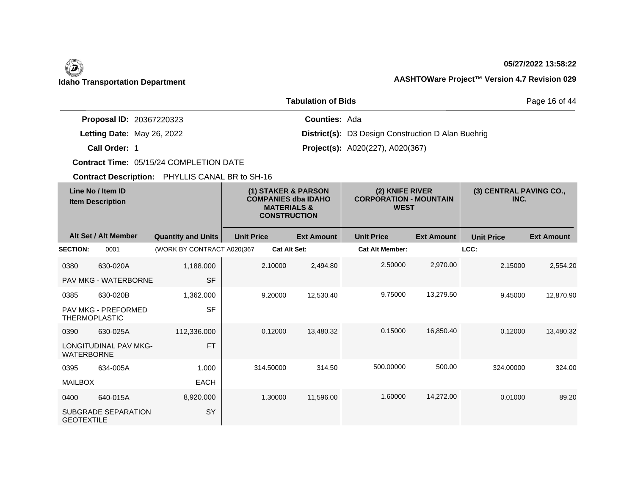### **05/27/2022 13:58:22**

### **Idaho Transportation Department AASHTOWare Project™ Version 4.7 Revision 029**

|                                 | Page 16 of 44                                             |  |
|---------------------------------|-----------------------------------------------------------|--|
| <b>Proposal ID: 20367220323</b> | <b>Counties: Ada</b>                                      |  |
| Letting Date: May 26, 2022      | <b>District(s):</b> D3 Design Construction D Alan Buehrig |  |
| Call Order: 1                   | <b>Project(s):</b> A020(227), A020(367)                   |  |

**Contract Time:** 05/15/24 COMPLETION DATE

| Line No / Item ID<br><b>Item Description</b> |                              | (1) STAKER & PARSON<br><b>COMPANIES dba IDAHO</b><br><b>MATERIALS &amp;</b><br><b>CONSTRUCTION</b> |                   | (2) KNIFE RIVER<br><b>CORPORATION - MOUNTAIN</b><br><b>WEST</b> |                        | (3) CENTRAL PAVING CO.,<br>INC. |                   |                   |
|----------------------------------------------|------------------------------|----------------------------------------------------------------------------------------------------|-------------------|-----------------------------------------------------------------|------------------------|---------------------------------|-------------------|-------------------|
|                                              | Alt Set / Alt Member         | <b>Quantity and Units</b>                                                                          | <b>Unit Price</b> | <b>Ext Amount</b>                                               | <b>Unit Price</b>      | <b>Ext Amount</b>               | <b>Unit Price</b> | <b>Ext Amount</b> |
| <b>SECTION:</b>                              | 0001                         | (WORK BY CONTRACT A020(367                                                                         |                   | <b>Cat Alt Set:</b>                                             | <b>Cat Alt Member:</b> |                                 | LCC:              |                   |
| 0380                                         | 630-020A                     | 1,188.000                                                                                          | 2.10000           | 2,494.80                                                        | 2.50000                | 2,970.00                        | 2.15000           | 2,554.20          |
|                                              | <b>PAV MKG - WATERBORNE</b>  | <b>SF</b>                                                                                          |                   |                                                                 |                        |                                 |                   |                   |
| 0385                                         | 630-020B                     | 1,362.000                                                                                          | 9.20000           | 12,530.40                                                       | 9.75000                | 13,279.50                       | 9.45000           | 12,870.90         |
| <b>THERMOPLASTIC</b>                         | <b>PAV MKG - PREFORMED</b>   | <b>SF</b>                                                                                          |                   |                                                                 |                        |                                 |                   |                   |
| 0390                                         | 630-025A                     | 112,336.000                                                                                        | 0.12000           | 13,480.32                                                       | 0.15000                | 16,850.40                       | 0.12000           | 13.480.32         |
| <b>WATERBORNE</b>                            | <b>LONGITUDINAL PAV MKG-</b> | <b>FT</b>                                                                                          |                   |                                                                 |                        |                                 |                   |                   |
| 0395                                         | 634-005A                     | 1.000                                                                                              | 314.50000         | 314.50                                                          | 500.00000              | 500.00                          | 324.00000         | 324.00            |
| <b>MAILBOX</b>                               |                              | <b>EACH</b>                                                                                        |                   |                                                                 |                        |                                 |                   |                   |
| 0400                                         | 640-015A                     | 8,920.000                                                                                          | 1.30000           | 11,596.00                                                       | 1.60000                | 14,272.00                       | 0.01000           | 89.20             |
| <b>GEOTEXTILE</b>                            | SUBGRADE SEPARATION          | <b>SY</b>                                                                                          |                   |                                                                 |                        |                                 |                   |                   |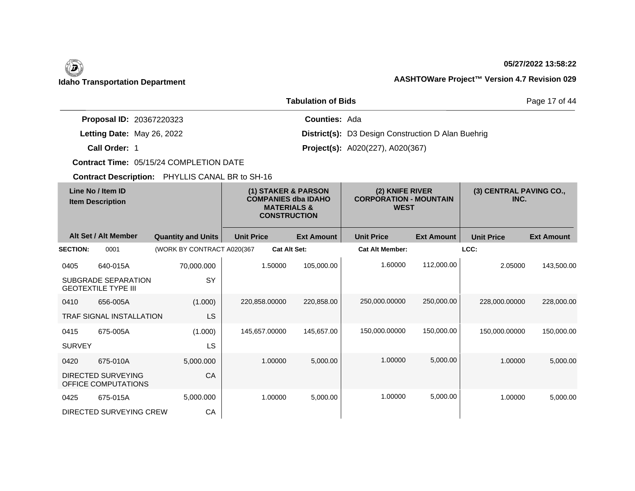### **05/27/2022 13:58:22**

### **Idaho Transportation Department AASHTOWare Project™ Version 4.7 Revision 029**

|                                 | Page 17 of 44                                             |  |
|---------------------------------|-----------------------------------------------------------|--|
| <b>Proposal ID: 20367220323</b> | <b>Counties: Ada</b>                                      |  |
| Letting Date: May 26, 2022      | <b>District(s):</b> D3 Design Construction D Alan Buehrig |  |
| Call Order: 1                   | <b>Project(s):</b> A020(227), A020(367)                   |  |

**Contract Time:** 05/15/24 COMPLETION DATE

| Line No / Item ID<br><b>Item Description</b> |                                                          | (1) STAKER & PARSON<br><b>COMPANIES dba IDAHO</b><br><b>MATERIALS &amp;</b><br><b>CONSTRUCTION</b> |                   | (2) KNIFE RIVER<br><b>CORPORATION - MOUNTAIN</b><br><b>WEST</b> |                   | (3) CENTRAL PAVING CO.,<br>INC. |                   |                   |                   |
|----------------------------------------------|----------------------------------------------------------|----------------------------------------------------------------------------------------------------|-------------------|-----------------------------------------------------------------|-------------------|---------------------------------|-------------------|-------------------|-------------------|
|                                              | Alt Set / Alt Member                                     | <b>Quantity and Units</b>                                                                          | <b>Unit Price</b> |                                                                 | <b>Ext Amount</b> | <b>Unit Price</b>               | <b>Ext Amount</b> | <b>Unit Price</b> | <b>Ext Amount</b> |
| <b>SECTION:</b>                              | 0001                                                     | (WORK BY CONTRACT A020(367                                                                         |                   | <b>Cat Alt Set:</b>                                             |                   | <b>Cat Alt Member:</b>          |                   | LCC:              |                   |
| 0405                                         | 640-015A                                                 | 70,000.000                                                                                         |                   | 1.50000                                                         | 105,000.00        | 1.60000                         | 112,000.00        | 2.05000           | 143,500.00        |
|                                              | <b>SUBGRADE SEPARATION</b><br><b>GEOTEXTILE TYPE III</b> | <b>SY</b>                                                                                          |                   |                                                                 |                   |                                 |                   |                   |                   |
| 0410                                         | 656-005A                                                 | (1.000)                                                                                            | 220,858.00000     |                                                                 | 220,858.00        | 250,000.00000                   | 250,000.00        | 228,000.00000     | 228,000.00        |
|                                              | <b>TRAF SIGNAL INSTALLATION</b>                          | <b>LS</b>                                                                                          |                   |                                                                 |                   |                                 |                   |                   |                   |
| 0415                                         | 675-005A                                                 | (1.000)                                                                                            |                   | 145,657.00000                                                   | 145,657.00        | 150,000.00000                   | 150,000.00        | 150,000.00000     | 150,000.00        |
| <b>SURVEY</b>                                |                                                          | <b>LS</b>                                                                                          |                   |                                                                 |                   |                                 |                   |                   |                   |
| 0420                                         | 675-010A                                                 | 5,000.000                                                                                          |                   | 1.00000                                                         | 5,000.00          | 1.00000                         | 5,000.00          | 1.00000           | 5,000.00          |
|                                              | DIRECTED SURVEYING<br>OFFICE COMPUTATIONS                | CA                                                                                                 |                   |                                                                 |                   |                                 |                   |                   |                   |
| 0425                                         | 675-015A                                                 | 5,000.000                                                                                          |                   | 1.00000                                                         | 5,000.00          | 1.00000                         | 5,000.00          | 1.00000           | 5,000.00          |
|                                              | DIRECTED SURVEYING CREW                                  | CA                                                                                                 |                   |                                                                 |                   |                                 |                   |                   |                   |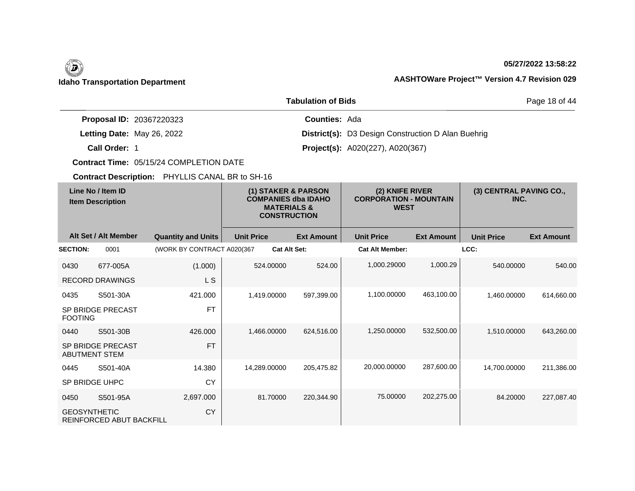### **05/27/2022 13:58:22**

### **Idaho Transportation Department AASHTOWare Project™ Version 4.7 Revision 029**

|                                 | <b>Tabulation of Bids</b>                                 | Page 18 of 44 |
|---------------------------------|-----------------------------------------------------------|---------------|
| <b>Proposal ID: 20367220323</b> | <b>Counties: Ada</b>                                      |               |
| Letting Date: May 26, 2022      | <b>District(s):</b> D3 Design Construction D Alan Buehrig |               |
| Call Order: 1                   | <b>Project(s):</b> A020(227), A020(367)                   |               |

**Contract Time:** 05/15/24 COMPLETION DATE

|                      | Line No / Item ID<br><b>Item Description</b> |                            | (1) STAKER & PARSON<br><b>COMPANIES dba IDAHO</b><br><b>MATERIALS &amp;</b><br><b>CONSTRUCTION</b> |                     |                   | (2) KNIFE RIVER<br><b>CORPORATION - MOUNTAIN</b><br><b>WEST</b> |                   | (3) CENTRAL PAVING CO.,<br>INC. |                   |
|----------------------|----------------------------------------------|----------------------------|----------------------------------------------------------------------------------------------------|---------------------|-------------------|-----------------------------------------------------------------|-------------------|---------------------------------|-------------------|
|                      | Alt Set / Alt Member                         | <b>Quantity and Units</b>  | <b>Unit Price</b>                                                                                  |                     | <b>Ext Amount</b> | <b>Unit Price</b>                                               | <b>Ext Amount</b> | <b>Unit Price</b>               | <b>Ext Amount</b> |
| <b>SECTION:</b>      | 0001                                         | (WORK BY CONTRACT A020(367 |                                                                                                    | <b>Cat Alt Set:</b> |                   | <b>Cat Alt Member:</b>                                          |                   | LCC:                            |                   |
| 0430                 | 677-005A                                     | (1.000)                    |                                                                                                    | 524.00000           | 524.00            | 1,000.29000                                                     | 1,000.29          | 540.00000                       | 540.00            |
|                      | <b>RECORD DRAWINGS</b>                       | L S                        |                                                                                                    |                     |                   |                                                                 |                   |                                 |                   |
| 0435                 | S501-30A                                     | 421.000                    |                                                                                                    | 1,419.00000         | 597,399.00        | 1,100.00000                                                     | 463,100.00        | 1,460.00000                     | 614,660.00        |
| <b>FOOTING</b>       | SP BRIDGE PRECAST                            | <b>FT</b>                  |                                                                                                    |                     |                   |                                                                 |                   |                                 |                   |
| 0440                 | S501-30B                                     | 426,000                    |                                                                                                    | 1,466.00000         | 624,516.00        | 1,250.00000                                                     | 532,500.00        | 1,510.00000                     | 643,260.00        |
| <b>ABUTMENT STEM</b> | SP BRIDGE PRECAST                            | <b>FT</b>                  |                                                                                                    |                     |                   |                                                                 |                   |                                 |                   |
| 0445                 | S501-40A                                     | 14.380                     |                                                                                                    | 14.289.00000        | 205,475.82        | 20,000.00000                                                    | 287,600.00        | 14,700.00000                    | 211,386.00        |
| SP BRIDGE UHPC       |                                              | <b>CY</b>                  |                                                                                                    |                     |                   |                                                                 |                   |                                 |                   |
| 0450                 | S501-95A                                     | 2,697.000                  |                                                                                                    | 81.70000            | 220,344.90        | 75.00000                                                        | 202,275.00        | 84.20000                        | 227,087.40        |
| <b>GEOSYNTHETIC</b>  | REINFORCED ABUT BACKFILL                     | <b>CY</b>                  |                                                                                                    |                     |                   |                                                                 |                   |                                 |                   |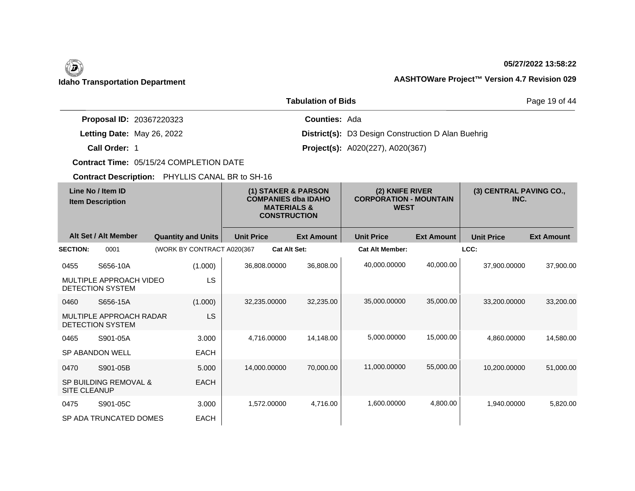#### **05/27/2022 13:58:22**

### **Idaho Transportation Department AASHTOWare Project™ Version 4.7 Revision 029**

|                                 | <b>Tabulation of Bids</b>                                 | Page 19 of 44 |
|---------------------------------|-----------------------------------------------------------|---------------|
| <b>Proposal ID: 20367220323</b> | <b>Counties: Ada</b>                                      |               |
| Letting Date: May 26, 2022      | <b>District(s):</b> D3 Design Construction D Alan Buehrig |               |
| Call Order: 1                   | <b>Project(s):</b> A020(227), A020(367)                   |               |

**Contract Time:** 05/15/24 COMPLETION DATE

|                     | Line No / Item ID<br><b>Item Description</b> |                            | (1) STAKER & PARSON<br><b>COMPANIES dba IDAHO</b><br><b>MATERIALS &amp;</b><br><b>CONSTRUCTION</b> |                     | (2) KNIFE RIVER<br><b>CORPORATION - MOUNTAIN</b><br><b>WEST</b> |                        | (3) CENTRAL PAVING CO.,<br>INC. |                   |                   |
|---------------------|----------------------------------------------|----------------------------|----------------------------------------------------------------------------------------------------|---------------------|-----------------------------------------------------------------|------------------------|---------------------------------|-------------------|-------------------|
|                     | Alt Set / Alt Member                         | <b>Quantity and Units</b>  | <b>Unit Price</b>                                                                                  |                     | <b>Ext Amount</b>                                               | <b>Unit Price</b>      | <b>Ext Amount</b>               | <b>Unit Price</b> | <b>Ext Amount</b> |
| <b>SECTION:</b>     | 0001                                         | (WORK BY CONTRACT A020(367 |                                                                                                    | <b>Cat Alt Set:</b> |                                                                 | <b>Cat Alt Member:</b> |                                 | LCC:              |                   |
| 0455                | S656-10A                                     | (1.000)                    |                                                                                                    | 36.808.00000        | 36,808.00                                                       | 40,000.00000           | 40,000.00                       | 37,900.00000      | 37,900.00         |
|                     | MULTIPLE APPROACH VIDEO<br>DETECTION SYSTEM  | LS                         |                                                                                                    |                     |                                                                 |                        |                                 |                   |                   |
| 0460                | S656-15A                                     | (1.000)                    |                                                                                                    | 32,235.00000        | 32,235.00                                                       | 35,000.00000           | 35,000.00                       | 33,200.00000      | 33,200.00         |
|                     | MULTIPLE APPROACH RADAR<br>DETECTION SYSTEM  | LS.                        |                                                                                                    |                     |                                                                 |                        |                                 |                   |                   |
| 0465                | S901-05A                                     | 3.000                      |                                                                                                    | 4,716.00000         | 14,148.00                                                       | 5,000.00000            | 15,000.00                       | 4,860.00000       | 14,580.00         |
|                     | <b>SP ABANDON WELL</b>                       | <b>EACH</b>                |                                                                                                    |                     |                                                                 |                        |                                 |                   |                   |
| 0470                | S901-05B                                     | 5.000                      |                                                                                                    | 14,000.00000        | 70,000.00                                                       | 11,000.00000           | 55,000.00                       | 10,200.00000      | 51,000.00         |
| <b>SITE CLEANUP</b> | <b>SP BUILDING REMOVAL &amp;</b>             | <b>EACH</b>                |                                                                                                    |                     |                                                                 |                        |                                 |                   |                   |
| 0475                | S901-05C                                     | 3.000                      |                                                                                                    | 1,572.00000         | 4,716.00                                                        | 1,600.00000            | 4,800.00                        | 1,940.00000       | 5,820.00          |
|                     | SP ADA TRUNCATED DOMES                       | <b>EACH</b>                |                                                                                                    |                     |                                                                 |                        |                                 |                   |                   |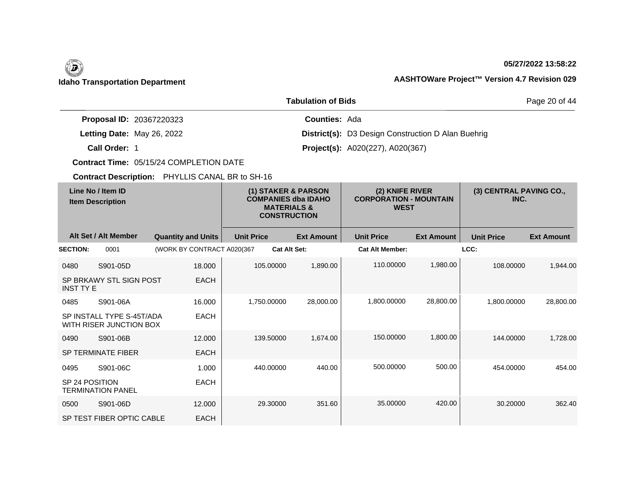#### **05/27/2022 13:58:22**

### **Idaho Transportation Department AASHTOWare Project™ Version 4.7 Revision 029**

|                                 | <b>Tabulation of Bids</b>                                 | Page 20 of 44 |
|---------------------------------|-----------------------------------------------------------|---------------|
| <b>Proposal ID: 20367220323</b> | <b>Counties: Ada</b>                                      |               |
| Letting Date: May 26, 2022      | <b>District(s):</b> D3 Design Construction D Alan Buehrig |               |
| Call Order: 1                   | <b>Project(s):</b> A020(227), A020(367)                   |               |

**Contract Time:** 05/15/24 COMPLETION DATE

|                  | Line No / Item ID<br><b>Item Description</b>         |                            | (1) STAKER & PARSON<br><b>COMPANIES dba IDAHO</b><br><b>MATERIALS &amp;</b><br><b>CONSTRUCTION</b> |                     | (2) KNIFE RIVER<br><b>CORPORATION - MOUNTAIN</b><br><b>WEST</b> |                        | (3) CENTRAL PAVING CO.,<br>INC. |                   |                   |
|------------------|------------------------------------------------------|----------------------------|----------------------------------------------------------------------------------------------------|---------------------|-----------------------------------------------------------------|------------------------|---------------------------------|-------------------|-------------------|
|                  | Alt Set / Alt Member                                 | <b>Quantity and Units</b>  | <b>Unit Price</b>                                                                                  |                     | <b>Ext Amount</b>                                               | <b>Unit Price</b>      | <b>Ext Amount</b>               | <b>Unit Price</b> | <b>Ext Amount</b> |
| <b>SECTION:</b>  | 0001                                                 | (WORK BY CONTRACT A020(367 |                                                                                                    | <b>Cat Alt Set:</b> |                                                                 | <b>Cat Alt Member:</b> |                                 | LCC:              |                   |
| 0480             | S901-05D                                             | 18,000                     |                                                                                                    | 105.00000           | 1,890.00                                                        | 110.00000              | 1,980.00                        | 108.00000         | 1.944.00          |
| <b>INST TY E</b> | SP BRKAWY STL SIGN POST                              | <b>EACH</b>                |                                                                                                    |                     |                                                                 |                        |                                 |                   |                   |
| 0485             | S901-06A                                             | 16.000                     |                                                                                                    | 1,750.00000         | 28,000.00                                                       | 1,800.00000            | 28,800.00                       | 1.800.00000       | 28,800.00         |
|                  | SP INSTALL TYPE S-45T/ADA<br>WITH RISER JUNCTION BOX | <b>EACH</b>                |                                                                                                    |                     |                                                                 |                        |                                 |                   |                   |
| 0490             | S901-06B                                             | 12.000                     |                                                                                                    | 139.50000           | 1,674.00                                                        | 150,00000              | 1,800.00                        | 144.00000         | 1,728.00          |
|                  | <b>SP TERMINATE FIBER</b>                            | <b>EACH</b>                |                                                                                                    |                     |                                                                 |                        |                                 |                   |                   |
| 0495             | S901-06C                                             | 1.000                      |                                                                                                    | 440.00000           | 440.00                                                          | 500.00000              | 500.00                          | 454.00000         | 454.00            |
| SP 24 POSITION   | <b>TERMINATION PANEL</b>                             | <b>EACH</b>                |                                                                                                    |                     |                                                                 |                        |                                 |                   |                   |
| 0500             | S901-06D                                             | 12,000                     |                                                                                                    | 29.30000            | 351.60                                                          | 35.00000               | 420.00                          | 30.20000          | 362.40            |
|                  | SP TEST FIBER OPTIC CABLE                            | <b>EACH</b>                |                                                                                                    |                     |                                                                 |                        |                                 |                   |                   |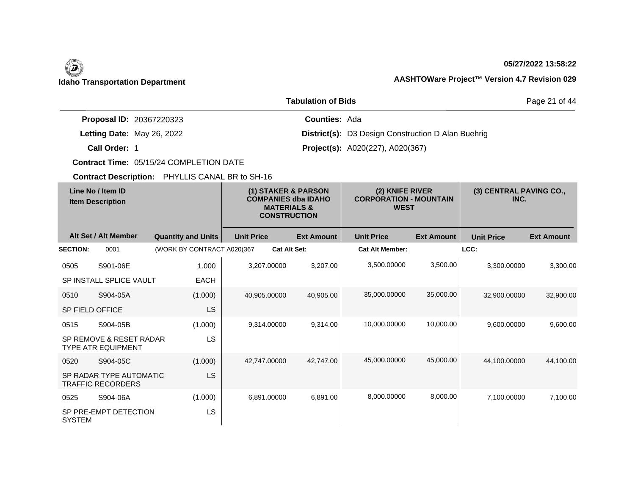### **05/27/2022 13:58:22**

### **Idaho Transportation Department AASHTOWare Project™ Version 4.7 Revision 029**

|                                 | <b>Tabulation of Bids</b>                                 | Page 21 of 44 |
|---------------------------------|-----------------------------------------------------------|---------------|
| <b>Proposal ID: 20367220323</b> | <b>Counties: Ada</b>                                      |               |
| Letting Date: May 26, 2022      | <b>District(s):</b> D3 Design Construction D Alan Buehrig |               |
| Call Order: 1                   | <b>Project(s):</b> A020(227), A020(367)                   |               |

**Contract Time:** 05/15/24 COMPLETION DATE

|                        | Line No / Item ID<br><b>Item Description</b>         |                            | (1) STAKER & PARSON<br><b>COMPANIES dba IDAHO</b><br><b>MATERIALS &amp;</b><br><b>CONSTRUCTION</b> |                     | (2) KNIFE RIVER<br><b>CORPORATION - MOUNTAIN</b><br><b>WEST</b> |                        | (3) CENTRAL PAVING CO.,<br>INC. |                   |                   |
|------------------------|------------------------------------------------------|----------------------------|----------------------------------------------------------------------------------------------------|---------------------|-----------------------------------------------------------------|------------------------|---------------------------------|-------------------|-------------------|
|                        | Alt Set / Alt Member                                 | <b>Quantity and Units</b>  | <b>Unit Price</b>                                                                                  |                     | <b>Ext Amount</b>                                               | <b>Unit Price</b>      | <b>Ext Amount</b>               | <b>Unit Price</b> | <b>Ext Amount</b> |
| <b>SECTION:</b>        | 0001                                                 | (WORK BY CONTRACT A020(367 |                                                                                                    | <b>Cat Alt Set:</b> |                                                                 | <b>Cat Alt Member:</b> |                                 | LCC:              |                   |
| 0505                   | S901-06E                                             | 1.000                      |                                                                                                    | 3.207.00000         | 3,207.00                                                        | 3,500.00000            | 3,500.00                        | 3.300.00000       | 3,300.00          |
|                        | SP INSTALL SPLICE VAULT                              | <b>EACH</b>                |                                                                                                    |                     |                                                                 |                        |                                 |                   |                   |
| 0510                   | S904-05A                                             | (1.000)                    |                                                                                                    | 40,905.00000        | 40,905.00                                                       | 35,000.00000           | 35,000.00                       | 32,900.00000      | 32,900.00         |
| <b>SP FIELD OFFICE</b> |                                                      | <b>LS</b>                  |                                                                                                    |                     |                                                                 |                        |                                 |                   |                   |
| 0515                   | S904-05B                                             | (1.000)                    |                                                                                                    | 9,314.00000         | 9.314.00                                                        | 10,000.00000           | 10,000.00                       | 9.600.00000       | 9,600.00          |
|                        | SP REMOVE & RESET RADAR<br><b>TYPE ATR EQUIPMENT</b> | LS                         |                                                                                                    |                     |                                                                 |                        |                                 |                   |                   |
| 0520                   | S904-05C                                             | (1.000)                    |                                                                                                    | 42,747.00000        | 42,747.00                                                       | 45,000.00000           | 45,000.00                       | 44.100.00000      | 44.100.00         |
|                        | SP RADAR TYPE AUTOMATIC<br><b>TRAFFIC RECORDERS</b>  | <b>LS</b>                  |                                                                                                    |                     |                                                                 |                        |                                 |                   |                   |
| 0525                   | S904-06A                                             | (1.000)                    |                                                                                                    | 6,891.00000         | 6,891.00                                                        | 8,000.00000            | 8,000.00                        | 7,100.00000       | 7,100.00          |
| <b>SYSTEM</b>          | SP PRE-EMPT DETECTION                                | <b>LS</b>                  |                                                                                                    |                     |                                                                 |                        |                                 |                   |                   |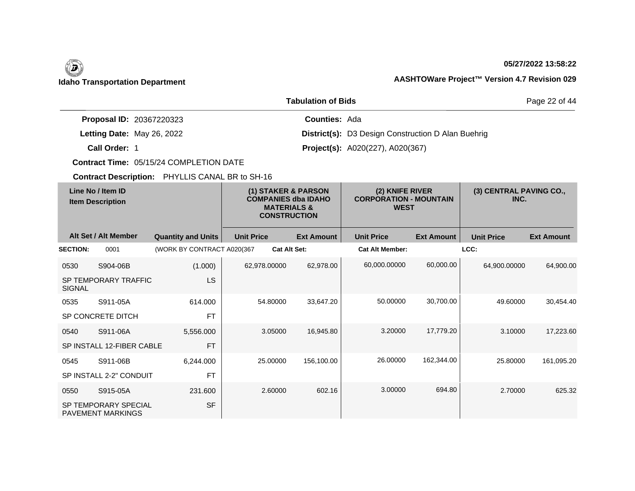#### **05/27/2022 13:58:22**

### **Idaho Transportation Department AASHTOWare Project™ Version 4.7 Revision 029**

|                                 | <b>Tabulation of Bids</b>                                 | Page 22 of 44 |
|---------------------------------|-----------------------------------------------------------|---------------|
| <b>Proposal ID: 20367220323</b> | <b>Counties: Ada</b>                                      |               |
| Letting Date: May 26, 2022      | <b>District(s):</b> D3 Design Construction D Alan Buehrig |               |
| Call Order: 1                   | <b>Project(s):</b> A020(227), A020(367)                   |               |

**Contract Time:** 05/15/24 COMPLETION DATE

|                 | Line No / Item ID<br><b>Item Description</b>            |                            |                   | <b>MATERIALS &amp;</b><br><b>CONSTRUCTION</b> | (1) STAKER & PARSON<br><b>COMPANIES dba IDAHO</b> | (2) KNIFE RIVER<br><b>CORPORATION - MOUNTAIN</b><br><b>WEST</b> |                   | (3) CENTRAL PAVING CO.,<br>INC. |                   |
|-----------------|---------------------------------------------------------|----------------------------|-------------------|-----------------------------------------------|---------------------------------------------------|-----------------------------------------------------------------|-------------------|---------------------------------|-------------------|
|                 | Alt Set / Alt Member                                    | <b>Quantity and Units</b>  | <b>Unit Price</b> |                                               | <b>Ext Amount</b>                                 | <b>Unit Price</b>                                               | <b>Ext Amount</b> | <b>Unit Price</b>               | <b>Ext Amount</b> |
| <b>SECTION:</b> | 0001                                                    | (WORK BY CONTRACT A020(367 |                   | <b>Cat Alt Set:</b>                           |                                                   | <b>Cat Alt Member:</b>                                          |                   | LCC:                            |                   |
| 0530            | S904-06B                                                | (1.000)                    |                   | 62,978.00000                                  | 62,978.00                                         | 60,000.00000                                                    | 60,000.00         | 64,900.00000                    | 64,900.00         |
| <b>SIGNAL</b>   | SP TEMPORARY TRAFFIC                                    | <b>LS</b>                  |                   |                                               |                                                   |                                                                 |                   |                                 |                   |
| 0535            | S911-05A                                                | 614.000                    |                   | 54.80000                                      | 33,647.20                                         | 50.00000                                                        | 30,700.00         | 49.60000                        | 30,454.40         |
|                 | SP CONCRETE DITCH                                       | <b>FT</b>                  |                   |                                               |                                                   |                                                                 |                   |                                 |                   |
| 0540            | S911-06A                                                | 5,556.000                  |                   | 3.05000                                       | 16,945.80                                         | 3.20000                                                         | 17,779.20         | 3.10000                         | 17,223.60         |
|                 | SP INSTALL 12-FIBER CABLE                               | <b>FT</b>                  |                   |                                               |                                                   |                                                                 |                   |                                 |                   |
| 0545            | S911-06B                                                | 6,244.000                  |                   | 25,00000                                      | 156,100.00                                        | 26,00000                                                        | 162,344.00        | 25.80000                        | 161,095.20        |
|                 | SP INSTALL 2-2" CONDUIT                                 | <b>FT</b>                  |                   |                                               |                                                   |                                                                 |                   |                                 |                   |
| 0550            | S915-05A                                                | 231.600                    |                   | 2.60000                                       | 602.16                                            | 3.00000                                                         | 694.80            | 2.70000                         | 625.32            |
|                 | <b>SP TEMPORARY SPECIAL</b><br><b>PAVEMENT MARKINGS</b> | <b>SF</b>                  |                   |                                               |                                                   |                                                                 |                   |                                 |                   |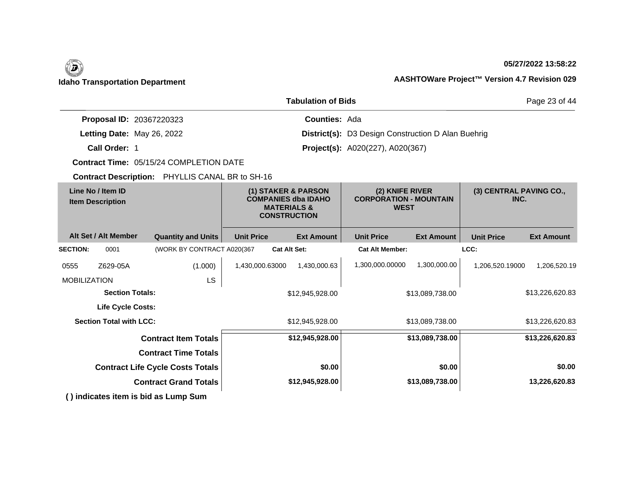### **05/27/2022 13:58:22**

|                                                       |                                                                                                    | <b>Tabulation of Bids</b> |                                                                 |                   |                                 | Page 23 of 44     |
|-------------------------------------------------------|----------------------------------------------------------------------------------------------------|---------------------------|-----------------------------------------------------------------|-------------------|---------------------------------|-------------------|
| Proposal ID: 20367220323                              |                                                                                                    | <b>Counties: Ada</b>      |                                                                 |                   |                                 |                   |
| Letting Date: May 26, 2022                            |                                                                                                    |                           | District(s): D3 Design Construction D Alan Buehrig              |                   |                                 |                   |
| Call Order: 1                                         |                                                                                                    |                           | <b>Project(s):</b> A020(227), A020(367)                         |                   |                                 |                   |
| <b>Contract Time: 05/15/24 COMPLETION DATE</b>        |                                                                                                    |                           |                                                                 |                   |                                 |                   |
| Contract Description: PHYLLIS CANAL BR to SH-16       |                                                                                                    |                           |                                                                 |                   |                                 |                   |
| Line No / Item ID<br><b>Item Description</b>          | (1) STAKER & PARSON<br><b>COMPANIES dba IDAHO</b><br><b>MATERIALS &amp;</b><br><b>CONSTRUCTION</b> |                           | (2) KNIFE RIVER<br><b>CORPORATION - MOUNTAIN</b><br><b>WEST</b> |                   | (3) CENTRAL PAVING CO.,<br>INC. |                   |
| Alt Set / Alt Member<br><b>Quantity and Units</b>     | <b>Unit Price</b>                                                                                  | <b>Ext Amount</b>         | <b>Unit Price</b>                                               | <b>Ext Amount</b> | <b>Unit Price</b>               | <b>Ext Amount</b> |
| (WORK BY CONTRACT A020(367<br><b>SECTION:</b><br>0001 | <b>Cat Alt Set:</b>                                                                                |                           | <b>Cat Alt Member:</b>                                          |                   | LCC:                            |                   |
| (1.000)<br>Z629-05A<br>0555                           | 1,430,000.63000                                                                                    | 1,430,000.63              | 1,300,000.00000                                                 | 1,300,000.00      | 1,206,520.19000                 | 1,206,520.19      |
| LS<br><b>MOBILIZATION</b>                             |                                                                                                    |                           |                                                                 |                   |                                 |                   |
| <b>Section Totals:</b>                                |                                                                                                    | \$12,945,928.00           |                                                                 | \$13,089,738.00   |                                 | \$13,226,620.83   |
| <b>Life Cycle Costs:</b>                              |                                                                                                    |                           |                                                                 |                   |                                 |                   |
| <b>Section Total with LCC:</b>                        |                                                                                                    | \$12,945,928.00           |                                                                 | \$13,089,738.00   |                                 | \$13,226,620.83   |
| <b>Contract Item Totals</b>                           |                                                                                                    | \$12,945,928.00           |                                                                 | \$13,089,738.00   |                                 | \$13,226,620.83   |
| <b>Contract Time Totals</b>                           |                                                                                                    |                           |                                                                 |                   |                                 |                   |
| <b>Contract Life Cycle Costs Totals</b>               |                                                                                                    | \$0.00                    |                                                                 | \$0.00            |                                 | \$0.00            |
| <b>Contract Grand Totals</b>                          |                                                                                                    | \$12,945,928.00           |                                                                 | \$13,089,738.00   |                                 | 13,226,620.83     |
| () indicates item is bid as Lump Sum                  |                                                                                                    |                           |                                                                 |                   |                                 |                   |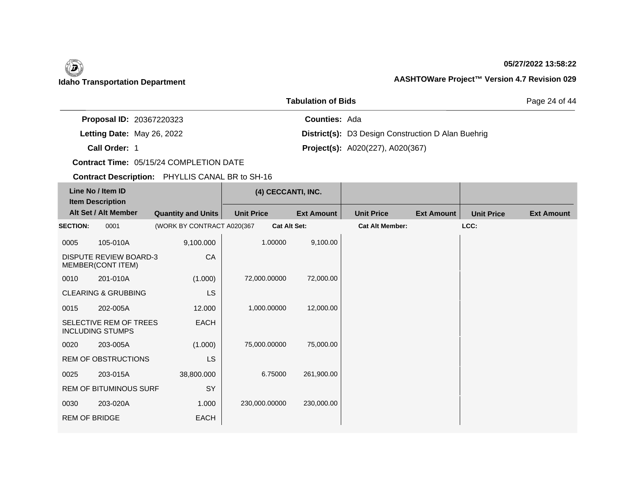### **05/27/2022 13:58:22**

Page 24 of 44

|                                 | , 898668888888                                            |  |
|---------------------------------|-----------------------------------------------------------|--|
| <b>Proposal ID: 20367220323</b> | <b>Counties: Ada</b>                                      |  |
| Letting Date: May 26, 2022      | <b>District(s):</b> D3 Design Construction D Alan Buehrig |  |
| Call Order: 1                   | <b>Project(s):</b> A020(227), A020(367)                   |  |

**Tabulation of Bids**

**Contract Time:** 05/15/24 COMPLETION DATE

| Line No / Item ID<br><b>Item Description</b> |                                                    |                            | (4) CECCANTI, INC.  |                   |                        |                   |                   |                   |
|----------------------------------------------|----------------------------------------------------|----------------------------|---------------------|-------------------|------------------------|-------------------|-------------------|-------------------|
|                                              | Alt Set / Alt Member                               | <b>Quantity and Units</b>  | <b>Unit Price</b>   | <b>Ext Amount</b> | <b>Unit Price</b>      | <b>Ext Amount</b> | <b>Unit Price</b> | <b>Ext Amount</b> |
| <b>SECTION:</b>                              | 0001                                               | (WORK BY CONTRACT A020(367 | <b>Cat Alt Set:</b> |                   | <b>Cat Alt Member:</b> |                   | LCC:              |                   |
| 0005                                         | 105-010A                                           | 9,100.000                  | 1.00000             | 9,100.00          |                        |                   |                   |                   |
|                                              | <b>DISPUTE REVIEW BOARD-3</b><br>MEMBER(CONT ITEM) | CA                         |                     |                   |                        |                   |                   |                   |
| 0010                                         | 201-010A                                           | (1.000)                    | 72,000.00000        | 72,000.00         |                        |                   |                   |                   |
|                                              | <b>CLEARING &amp; GRUBBING</b>                     | LS                         |                     |                   |                        |                   |                   |                   |
| 0015                                         | 202-005A                                           | 12.000                     | 1,000.00000         | 12,000.00         |                        |                   |                   |                   |
|                                              | SELECTIVE REM OF TREES<br><b>INCLUDING STUMPS</b>  | <b>EACH</b>                |                     |                   |                        |                   |                   |                   |
| 0020                                         | 203-005A                                           | (1.000)                    | 75,000.00000        | 75,000.00         |                        |                   |                   |                   |
|                                              | <b>REM OF OBSTRUCTIONS</b>                         | <b>LS</b>                  |                     |                   |                        |                   |                   |                   |
| 0025                                         | 203-015A                                           | 38,800.000                 | 6.75000             | 261,900.00        |                        |                   |                   |                   |
|                                              | <b>REM OF BITUMINOUS SURF</b>                      | SY                         |                     |                   |                        |                   |                   |                   |
| 0030                                         | 203-020A                                           | 1.000                      | 230,000.00000       | 230,000.00        |                        |                   |                   |                   |
| <b>REM OF BRIDGE</b>                         |                                                    | <b>EACH</b>                |                     |                   |                        |                   |                   |                   |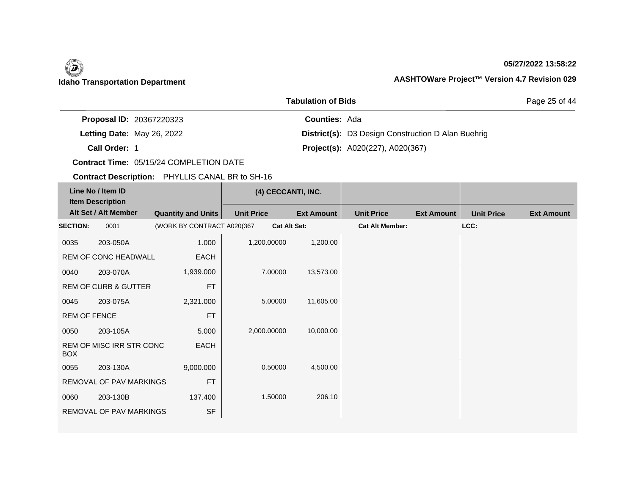### **05/27/2022 13:58:22**

Page 25 of 44

| <b>Proposal ID: 20367220323</b> | <b>Counties: Ada</b>                                      |  |
|---------------------------------|-----------------------------------------------------------|--|
| Letting Date: May 26, 2022      | <b>District(s):</b> D3 Design Construction D Alan Buehrig |  |
| Call Order: 1                   | <b>Project(s):</b> A020(227), A020(367)                   |  |

**Tabulation of Bids**

**Contract Time:** 05/15/24 COMPLETION DATE

| Line No / Item ID<br><b>Item Description</b> |                                 |                            | (4) CECCANTI, INC. |                     |                        |                   |                   |                   |
|----------------------------------------------|---------------------------------|----------------------------|--------------------|---------------------|------------------------|-------------------|-------------------|-------------------|
|                                              | Alt Set / Alt Member            | <b>Quantity and Units</b>  | <b>Unit Price</b>  | <b>Ext Amount</b>   | <b>Unit Price</b>      | <b>Ext Amount</b> | <b>Unit Price</b> | <b>Ext Amount</b> |
| <b>SECTION:</b>                              | 0001                            | (WORK BY CONTRACT A020(367 |                    | <b>Cat Alt Set:</b> | <b>Cat Alt Member:</b> |                   | LCC:              |                   |
| 0035                                         | 203-050A                        | 1.000                      | 1,200.00000        | 1,200.00            |                        |                   |                   |                   |
|                                              | REM OF CONC HEADWALL            | EACH                       |                    |                     |                        |                   |                   |                   |
| 0040                                         | 203-070A                        | 1,939.000                  | 7.00000            | 13,573.00           |                        |                   |                   |                   |
|                                              | <b>REM OF CURB &amp; GUTTER</b> | <b>FT</b>                  |                    |                     |                        |                   |                   |                   |
| 0045                                         | 203-075A                        | 2,321.000                  | 5.00000            | 11,605.00           |                        |                   |                   |                   |
| <b>REM OF FENCE</b>                          |                                 | <b>FT</b>                  |                    |                     |                        |                   |                   |                   |
| 0050                                         | 203-105A                        | 5.000                      | 2,000.00000        | 10,000.00           |                        |                   |                   |                   |
| <b>BOX</b>                                   | REM OF MISC IRR STR CONC        | EACH                       |                    |                     |                        |                   |                   |                   |
| 0055                                         | 203-130A                        | 9,000.000                  | 0.50000            | 4,500.00            |                        |                   |                   |                   |
|                                              | <b>REMOVAL OF PAV MARKINGS</b>  | <b>FT</b>                  |                    |                     |                        |                   |                   |                   |
| 0060                                         | 203-130B                        | 137.400                    | 1.50000            | 206.10              |                        |                   |                   |                   |
|                                              | REMOVAL OF PAV MARKINGS         | <b>SF</b>                  |                    |                     |                        |                   |                   |                   |
|                                              |                                 |                            |                    |                     |                        |                   |                   |                   |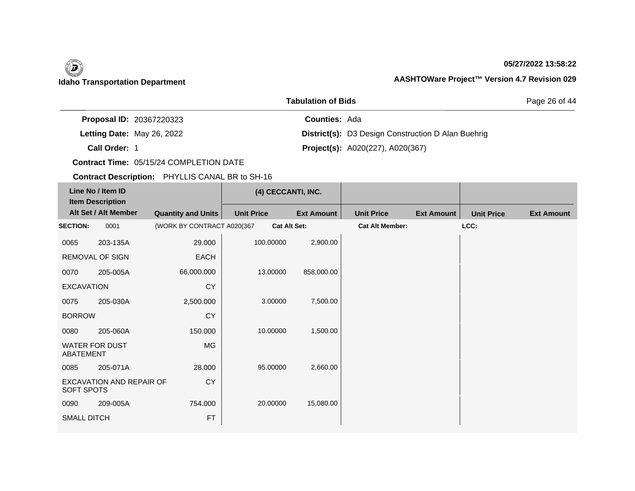### **05/27/2022 13:58:22**

Page 26 of 44

| <b>Proposal ID: 20367220323</b> | <b>Counties: Ada</b> |                                                           |
|---------------------------------|----------------------|-----------------------------------------------------------|
| Letting Date: May 26, 2022      |                      | <b>District(s):</b> D3 Design Construction D Alan Buehrig |
| Call Order: 1                   |                      | <b>Project(s):</b> A020(227), A020(367)                   |

**Tabulation of Bids**

**Contract Time:** 05/15/24 COMPLETION DATE

| Line No / Item ID<br><b>Item Description</b> |                          |                            | (4) CECCANTI, INC. |                   |                        |                   |                   |                   |
|----------------------------------------------|--------------------------|----------------------------|--------------------|-------------------|------------------------|-------------------|-------------------|-------------------|
|                                              | Alt Set / Alt Member     | <b>Quantity and Units</b>  | <b>Unit Price</b>  | <b>Ext Amount</b> | <b>Unit Price</b>      | <b>Ext Amount</b> | <b>Unit Price</b> | <b>Ext Amount</b> |
| <b>SECTION:</b>                              | 0001                     | (WORK BY CONTRACT A020(367 |                    | Cat Alt Set:      | <b>Cat Alt Member:</b> |                   | LCC:              |                   |
| 0065                                         | 203-135A                 | 29.000                     | 100.00000          | 2,900.00          |                        |                   |                   |                   |
|                                              | REMOVAL OF SIGN          | EACH                       |                    |                   |                        |                   |                   |                   |
| 0070                                         | 205-005A                 | 66,000.000                 | 13.00000           | 858,000.00        |                        |                   |                   |                   |
| <b>CY</b><br><b>EXCAVATION</b>               |                          |                            |                    |                   |                        |                   |                   |                   |
| 0075                                         | 205-030A                 | 2,500.000                  | 3.00000            | 7,500.00          |                        |                   |                   |                   |
| <b>BORROW</b>                                |                          | <b>CY</b>                  |                    |                   |                        |                   |                   |                   |
| 0080                                         | 205-060A                 | 150.000                    | 10.00000           | 1,500.00          |                        |                   |                   |                   |
| ABATEMENT                                    | <b>WATER FOR DUST</b>    | MG                         |                    |                   |                        |                   |                   |                   |
| 0085                                         | 205-071A                 | 28.000                     | 95.00000           | 2,660.00          |                        |                   |                   |                   |
| <b>SOFT SPOTS</b>                            | EXCAVATION AND REPAIR OF | <b>CY</b>                  |                    |                   |                        |                   |                   |                   |
| 0090                                         | 209-005A                 | 754.000                    | 20.00000           | 15,080.00         |                        |                   |                   |                   |
| <b>SMALL DITCH</b>                           |                          | <b>FT</b>                  |                    |                   |                        |                   |                   |                   |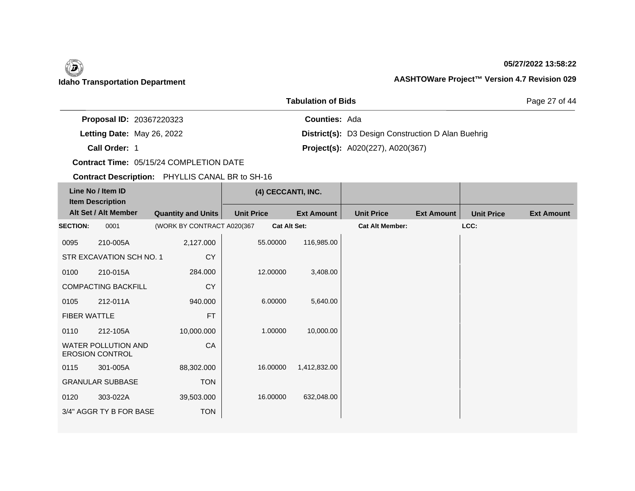### **05/27/2022 13:58:22**

Page 27 of 44

|                                 | , 898668888888                                            |  |
|---------------------------------|-----------------------------------------------------------|--|
| <b>Proposal ID: 20367220323</b> | <b>Counties: Ada</b>                                      |  |
| Letting Date: May 26, 2022      | <b>District(s):</b> D3 Design Construction D Alan Buehrig |  |
| Call Order: 1                   | <b>Project(s):</b> A020(227), A020(367)                   |  |

**Tabulation of Bids**

**Contract Time:** 05/15/24 COMPLETION DATE

| Line No / Item ID<br><b>Item Description</b> |                                                      |                            | (4) CECCANTI, INC. |                     |                        |                   |                   |                   |  |
|----------------------------------------------|------------------------------------------------------|----------------------------|--------------------|---------------------|------------------------|-------------------|-------------------|-------------------|--|
|                                              | Alt Set / Alt Member                                 | <b>Quantity and Units</b>  | <b>Unit Price</b>  | <b>Ext Amount</b>   | <b>Unit Price</b>      | <b>Ext Amount</b> | <b>Unit Price</b> | <b>Ext Amount</b> |  |
| <b>SECTION:</b>                              | 0001                                                 | (WORK BY CONTRACT A020(367 |                    | <b>Cat Alt Set:</b> | <b>Cat Alt Member:</b> |                   | LCC:              |                   |  |
| 0095                                         | 210-005A                                             | 2,127.000                  | 55.00000           | 116,985.00          |                        |                   |                   |                   |  |
|                                              | STR EXCAVATION SCH NO. 1                             | CY                         |                    |                     |                        |                   |                   |                   |  |
| 0100                                         | 210-015A                                             | 284.000                    | 12.00000           | 3,408.00            |                        |                   |                   |                   |  |
|                                              | <b>COMPACTING BACKFILL</b>                           | <b>CY</b>                  |                    |                     |                        |                   |                   |                   |  |
| 0105                                         | 212-011A                                             | 940.000                    | 6.00000            | 5,640.00            |                        |                   |                   |                   |  |
| <b>FIBER WATTLE</b>                          |                                                      | <b>FT</b>                  |                    |                     |                        |                   |                   |                   |  |
| 0110                                         | 212-105A                                             | 10,000.000                 | 1.00000            | 10,000.00           |                        |                   |                   |                   |  |
|                                              | <b>WATER POLLUTION AND</b><br><b>EROSION CONTROL</b> | CA                         |                    |                     |                        |                   |                   |                   |  |
| 0115                                         | 301-005A                                             | 88,302.000                 | 16.00000           | 1,412,832.00        |                        |                   |                   |                   |  |
|                                              | <b>GRANULAR SUBBASE</b>                              | <b>TON</b>                 |                    |                     |                        |                   |                   |                   |  |
| 0120                                         | 303-022A                                             | 39,503.000                 | 16.00000           | 632,048.00          |                        |                   |                   |                   |  |
|                                              | 3/4" AGGR TY B FOR BASE                              | <b>TON</b>                 |                    |                     |                        |                   |                   |                   |  |
|                                              |                                                      |                            |                    |                     |                        |                   |                   |                   |  |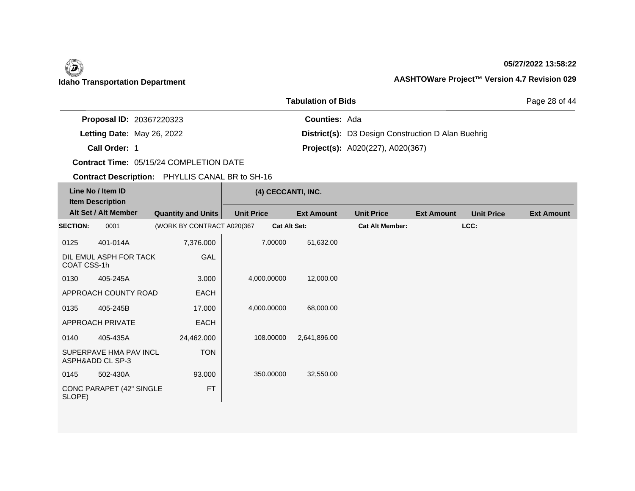### **05/27/2022 13:58:22**

Page 28 of 44

|                                 | <b>Tabulation of Bids</b>                                 |
|---------------------------------|-----------------------------------------------------------|
| <b>Proposal ID: 20367220323</b> | <b>Counties: Ada</b>                                      |
| Letting Date: May 26, 2022      | <b>District(s):</b> D3 Design Construction D Alan Buehrig |
| Call Order: 1                   | <b>Project(s):</b> A020(227), A020(367)                   |

**Contract Time:** 05/15/24 COMPLETION DATE

| Line No / Item ID<br><b>Item Description</b> |                                            |                            | (4) CECCANTI, INC. |                     |                        |                   |                   |                   |
|----------------------------------------------|--------------------------------------------|----------------------------|--------------------|---------------------|------------------------|-------------------|-------------------|-------------------|
|                                              | Alt Set / Alt Member                       | <b>Quantity and Units</b>  | <b>Unit Price</b>  | <b>Ext Amount</b>   | <b>Unit Price</b>      | <b>Ext Amount</b> | <b>Unit Price</b> | <b>Ext Amount</b> |
| <b>SECTION:</b>                              | 0001                                       | (WORK BY CONTRACT A020(367 |                    | <b>Cat Alt Set:</b> | <b>Cat Alt Member:</b> |                   | LCC:              |                   |
| 0125                                         | 401-014A                                   | 7,376.000                  | 7.00000            | 51,632.00           |                        |                   |                   |                   |
| COAT CSS-1h                                  | DIL EMUL ASPH FOR TACK                     | GAL                        |                    |                     |                        |                   |                   |                   |
| 0130                                         | 405-245A                                   | 3.000                      | 4,000.00000        | 12,000.00           |                        |                   |                   |                   |
|                                              | APPROACH COUNTY ROAD                       | <b>EACH</b>                |                    |                     |                        |                   |                   |                   |
| 0135                                         | 405-245B                                   | 17.000                     | 4,000.00000        | 68,000.00           |                        |                   |                   |                   |
|                                              | APPROACH PRIVATE                           | <b>EACH</b>                |                    |                     |                        |                   |                   |                   |
| 0140                                         | 405-435A                                   | 24,462.000                 | 108.00000          | 2,641,896.00        |                        |                   |                   |                   |
|                                              | SUPERPAVE HMA PAV INCL<br>ASPH&ADD CL SP-3 | <b>TON</b>                 |                    |                     |                        |                   |                   |                   |
| 0145                                         | 502-430A                                   | 93.000                     | 350.00000          | 32,550.00           |                        |                   |                   |                   |
| SLOPE)                                       | CONC PARAPET (42" SINGLE                   | <b>FT</b>                  |                    |                     |                        |                   |                   |                   |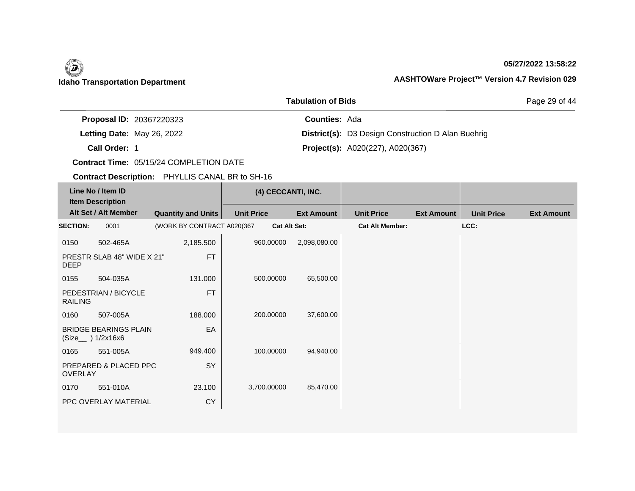### **05/27/2022 13:58:22**

Page 29 of 44

|                                 | <b>Tabulation of Bids</b>                                 |
|---------------------------------|-----------------------------------------------------------|
| <b>Proposal ID: 20367220323</b> | <b>Counties: Ada</b>                                      |
| Letting Date: May 26, 2022      | <b>District(s):</b> D3 Design Construction D Alan Buehrig |
| Call Order: 1                   | <b>Project(s):</b> A020(227), A020(367)                   |

**Contract Time:** 05/15/24 COMPLETION DATE

| Line No / Item ID<br><b>Item Description</b> |                                                     |                            | (4) CECCANTI, INC. |                     |                        |                   |                   |                   |
|----------------------------------------------|-----------------------------------------------------|----------------------------|--------------------|---------------------|------------------------|-------------------|-------------------|-------------------|
|                                              | Alt Set / Alt Member                                | <b>Quantity and Units</b>  | <b>Unit Price</b>  | <b>Ext Amount</b>   | <b>Unit Price</b>      | <b>Ext Amount</b> | <b>Unit Price</b> | <b>Ext Amount</b> |
| <b>SECTION:</b>                              | 0001                                                | (WORK BY CONTRACT A020(367 |                    | <b>Cat Alt Set:</b> | <b>Cat Alt Member:</b> |                   | LCC:              |                   |
| 0150                                         | 502-465A                                            | 2,185.500                  | 960.00000          | 2,098,080.00        |                        |                   |                   |                   |
| <b>DEEP</b>                                  | PRESTR SLAB 48" WIDE X 21"                          | <b>FT</b>                  |                    |                     |                        |                   |                   |                   |
| 0155                                         | 504-035A                                            | 131.000                    | 500.00000          | 65,500.00           |                        |                   |                   |                   |
| <b>RAILING</b>                               | PEDESTRIAN / BICYCLE                                | <b>FT</b>                  |                    |                     |                        |                   |                   |                   |
| 0160                                         | 507-005A                                            | 188.000                    | 200.00000          | 37,600.00           |                        |                   |                   |                   |
|                                              | <b>BRIDGE BEARINGS PLAIN</b><br>(Size___ ) 1/2x16x6 | EA                         |                    |                     |                        |                   |                   |                   |
| 0165                                         | 551-005A                                            | 949.400                    | 100.00000          | 94,940.00           |                        |                   |                   |                   |
| <b>OVERLAY</b>                               | PREPARED & PLACED PPC                               | SY                         |                    |                     |                        |                   |                   |                   |
| 0170                                         | 551-010A                                            | 23.100                     | 3,700.00000        | 85,470.00           |                        |                   |                   |                   |
|                                              | PPC OVERLAY MATERIAL                                | <b>CY</b>                  |                    |                     |                        |                   |                   |                   |
|                                              |                                                     |                            |                    |                     |                        |                   |                   |                   |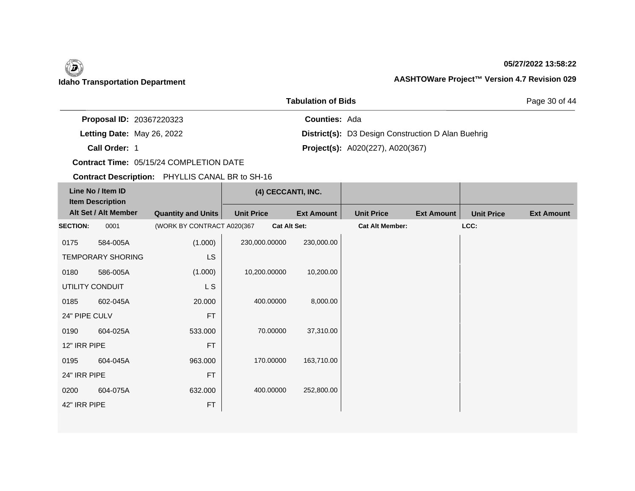### **05/27/2022 13:58:22**

Page 30 of 44

| <b>Proposal ID: 20367220323</b> | <b>Counties: Ada</b>                                      |  |
|---------------------------------|-----------------------------------------------------------|--|
| Letting Date: May 26, 2022      | <b>District(s):</b> D3 Design Construction D Alan Buehrig |  |
| Call Order: 1                   | <b>Project(s):</b> A020(227), A020(367)                   |  |

**Tabulation of Bids**

**Contract Time:** 05/15/24 COMPLETION DATE

| Line No / Item ID<br><b>Item Description</b> |                          |                            | (4) CECCANTI, INC.  |                   |                        |                   |                   |                   |
|----------------------------------------------|--------------------------|----------------------------|---------------------|-------------------|------------------------|-------------------|-------------------|-------------------|
|                                              | Alt Set / Alt Member     | <b>Quantity and Units</b>  | <b>Unit Price</b>   | <b>Ext Amount</b> | <b>Unit Price</b>      | <b>Ext Amount</b> | <b>Unit Price</b> | <b>Ext Amount</b> |
| <b>SECTION:</b>                              | 0001                     | (WORK BY CONTRACT A020(367 | <b>Cat Alt Set:</b> |                   | <b>Cat Alt Member:</b> |                   | LCC:              |                   |
| 0175                                         | 584-005A                 | (1.000)                    | 230,000.00000       | 230,000.00        |                        |                   |                   |                   |
|                                              | <b>TEMPORARY SHORING</b> | <b>LS</b>                  |                     |                   |                        |                   |                   |                   |
| 0180                                         | 586-005A                 | (1.000)                    | 10,200.00000        | 10,200.00         |                        |                   |                   |                   |
|                                              | UTILITY CONDUIT          | L S                        |                     |                   |                        |                   |                   |                   |
| 0185                                         | 602-045A                 | 20.000                     | 400.00000           | 8,000.00          |                        |                   |                   |                   |
| 24" PIPE CULV                                |                          | <b>FT</b>                  |                     |                   |                        |                   |                   |                   |
| 0190                                         | 604-025A                 | 533.000                    | 70.00000            | 37,310.00         |                        |                   |                   |                   |
| 12" IRR PIPE                                 |                          | <b>FT</b>                  |                     |                   |                        |                   |                   |                   |
| 0195                                         | 604-045A                 | 963.000                    | 170.00000           | 163,710.00        |                        |                   |                   |                   |
| 24" IRR PIPE                                 |                          | <b>FT</b>                  |                     |                   |                        |                   |                   |                   |
| 0200                                         | 604-075A                 | 632.000                    | 400.00000           | 252,800.00        |                        |                   |                   |                   |
| 42" IRR PIPE                                 |                          | <b>FT</b>                  |                     |                   |                        |                   |                   |                   |
|                                              |                          |                            |                     |                   |                        |                   |                   |                   |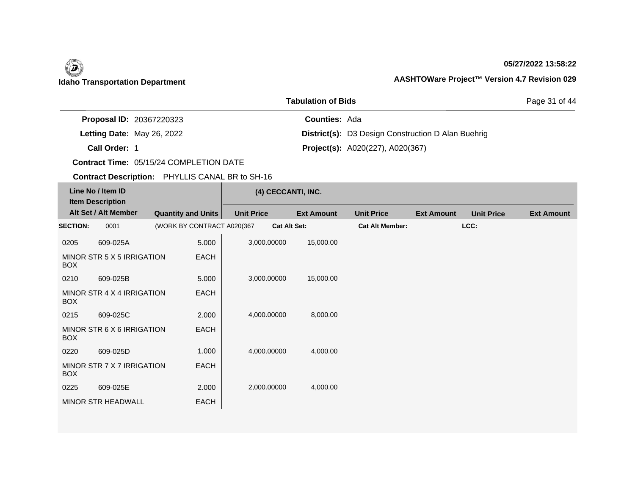### **05/27/2022 13:58:22**

Page 31 of 44

|                                 | <b>Tabulation of Bids</b>                                 |
|---------------------------------|-----------------------------------------------------------|
| <b>Proposal ID: 20367220323</b> | <b>Counties: Ada</b>                                      |
| Letting Date: May 26, 2022      | <b>District(s):</b> D3 Design Construction D Alan Buehrig |
| Call Order: 1                   | <b>Project(s):</b> A020(227), A020(367)                   |

**Contract Time:** 05/15/24 COMPLETION DATE

| Line No / Item ID<br><b>Item Description</b> |                            |                            |                   | (4) CECCANTI, INC.  |                        |                   |                   |                   |
|----------------------------------------------|----------------------------|----------------------------|-------------------|---------------------|------------------------|-------------------|-------------------|-------------------|
|                                              | Alt Set / Alt Member       | <b>Quantity and Units</b>  | <b>Unit Price</b> | <b>Ext Amount</b>   | <b>Unit Price</b>      | <b>Ext Amount</b> | <b>Unit Price</b> | <b>Ext Amount</b> |
| <b>SECTION:</b>                              | 0001                       | (WORK BY CONTRACT A020(367 |                   | <b>Cat Alt Set:</b> | <b>Cat Alt Member:</b> |                   | LCC:              |                   |
| 0205                                         | 609-025A                   | 5.000                      | 3,000.00000       | 15,000.00           |                        |                   |                   |                   |
| <b>BOX</b>                                   | MINOR STR 5 X 5 IRRIGATION | EACH                       |                   |                     |                        |                   |                   |                   |
| 0210                                         | 609-025B                   | 5.000                      | 3,000.00000       | 15,000.00           |                        |                   |                   |                   |
| <b>BOX</b>                                   | MINOR STR 4 X 4 IRRIGATION | <b>EACH</b>                |                   |                     |                        |                   |                   |                   |
| 0215                                         | 609-025C                   | 2.000                      | 4,000.00000       | 8,000.00            |                        |                   |                   |                   |
| <b>BOX</b>                                   | MINOR STR 6 X 6 IRRIGATION | EACH                       |                   |                     |                        |                   |                   |                   |
| 0220                                         | 609-025D                   | 1.000                      | 4,000.00000       | 4,000.00            |                        |                   |                   |                   |
| <b>BOX</b>                                   | MINOR STR 7 X 7 IRRIGATION | <b>EACH</b>                |                   |                     |                        |                   |                   |                   |
| 0225                                         | 609-025E                   | 2.000                      | 2,000.00000       | 4,000.00            |                        |                   |                   |                   |
|                                              | <b>MINOR STR HEADWALL</b>  | EACH                       |                   |                     |                        |                   |                   |                   |
|                                              |                            |                            |                   |                     |                        |                   |                   |                   |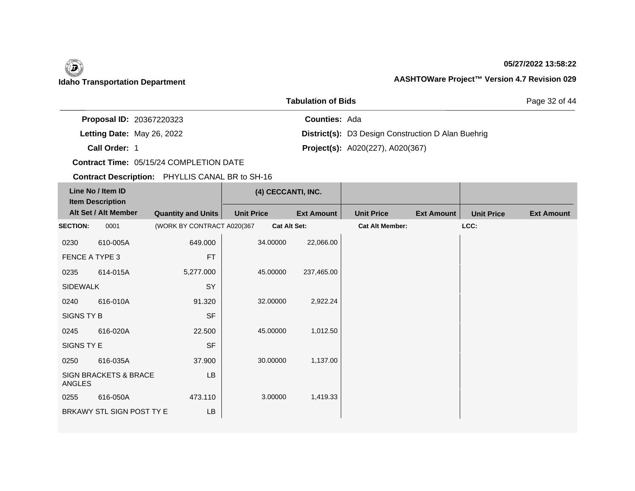### **05/27/2022 13:58:22**

Page 32 of 44

|                            | <b>Proposal ID: 20367220323</b> | <b>Counties: Ada</b> |                                                           |
|----------------------------|---------------------------------|----------------------|-----------------------------------------------------------|
| Letting Date: May 26, 2022 |                                 |                      | <b>District(s):</b> D3 Design Construction D Alan Buehrig |
| Call Order: 1              |                                 |                      | <b>Project(s):</b> A020(227), A020(367)                   |

**Tabulation of Bids**

**Contract Time:** 05/15/24 COMPLETION DATE

| Line No / Item ID<br><b>Item Description</b> |                                  |                            | (4) CECCANTI, INC. |                     |                   |                        |                   |                   |                   |
|----------------------------------------------|----------------------------------|----------------------------|--------------------|---------------------|-------------------|------------------------|-------------------|-------------------|-------------------|
|                                              | Alt Set / Alt Member             | <b>Quantity and Units</b>  | <b>Unit Price</b>  |                     | <b>Ext Amount</b> | <b>Unit Price</b>      | <b>Ext Amount</b> | <b>Unit Price</b> | <b>Ext Amount</b> |
| <b>SECTION:</b>                              | 0001                             | (WORK BY CONTRACT A020(367 |                    | <b>Cat Alt Set:</b> |                   | <b>Cat Alt Member:</b> |                   | LCC:              |                   |
| 0230                                         | 610-005A                         | 649.000                    |                    | 34.00000            | 22,066.00         |                        |                   |                   |                   |
| FENCE A TYPE 3                               |                                  | <b>FT</b>                  |                    |                     |                   |                        |                   |                   |                   |
| 0235                                         | 614-015A                         | 5,277.000                  |                    | 45.00000            | 237,465.00        |                        |                   |                   |                   |
| <b>SIDEWALK</b>                              |                                  | SY                         |                    |                     |                   |                        |                   |                   |                   |
| 0240                                         | 616-010A                         | 91.320                     |                    | 32.00000            | 2,922.24          |                        |                   |                   |                   |
| SIGNS TY B                                   |                                  | <b>SF</b>                  |                    |                     |                   |                        |                   |                   |                   |
| 0245                                         | 616-020A                         | 22.500                     |                    | 45.00000            | 1,012.50          |                        |                   |                   |                   |
| SIGNS TY E                                   |                                  | <b>SF</b>                  |                    |                     |                   |                        |                   |                   |                   |
| 0250                                         | 616-035A                         | 37.900                     |                    | 30.00000            | 1,137.00          |                        |                   |                   |                   |
| ANGLES                                       | <b>SIGN BRACKETS &amp; BRACE</b> | <b>LB</b>                  |                    |                     |                   |                        |                   |                   |                   |
| 0255                                         | 616-050A                         | 473.110                    |                    | 3.00000             | 1,419.33          |                        |                   |                   |                   |
|                                              | BRKAWY STL SIGN POST TY E        | LB                         |                    |                     |                   |                        |                   |                   |                   |
|                                              |                                  |                            |                    |                     |                   |                        |                   |                   |                   |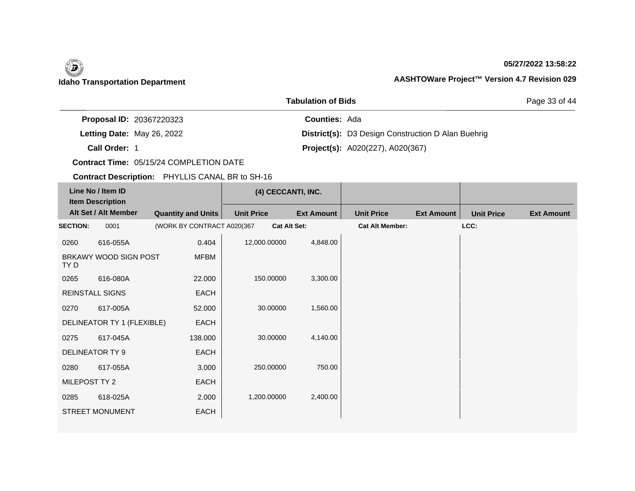### **05/27/2022 13:58:22**

Page 33 of 44

|                            | <b>Proposal ID: 20367220323</b> | <b>Counties: Ada</b> |                                                           |
|----------------------------|---------------------------------|----------------------|-----------------------------------------------------------|
| Letting Date: May 26, 2022 |                                 |                      | <b>District(s):</b> D3 Design Construction D Alan Buehrig |
| Call Order: 1              |                                 |                      | <b>Project(s):</b> A020(227), A020(367)                   |

**Tabulation of Bids**

**Contract Time:** 05/15/24 COMPLETION DATE

| Line No / Item ID<br><b>Item Description</b> |                            |                            | (4) CECCANTI, INC. |                   |                        |                   |                   |                   |
|----------------------------------------------|----------------------------|----------------------------|--------------------|-------------------|------------------------|-------------------|-------------------|-------------------|
|                                              | Alt Set / Alt Member       | <b>Quantity and Units</b>  | <b>Unit Price</b>  | <b>Ext Amount</b> | <b>Unit Price</b>      | <b>Ext Amount</b> | <b>Unit Price</b> | <b>Ext Amount</b> |
| <b>SECTION:</b>                              | 0001                       | (WORK BY CONTRACT A020(367 | Cat Alt Set:       |                   | <b>Cat Alt Member:</b> |                   | LCC:              |                   |
| 0260                                         | 616-055A                   | 0.404                      | 12,000.00000       | 4,848.00          |                        |                   |                   |                   |
| TY D                                         | BRKAWY WOOD SIGN POST      | <b>MFBM</b>                |                    |                   |                        |                   |                   |                   |
| 0265                                         | 616-080A                   | 22.000                     | 150.00000          | 3,300.00          |                        |                   |                   |                   |
|                                              | <b>REINSTALL SIGNS</b>     | EACH                       |                    |                   |                        |                   |                   |                   |
| 0270                                         | 617-005A                   | 52.000                     | 30.00000           | 1,560.00          |                        |                   |                   |                   |
|                                              | DELINEATOR TY 1 (FLEXIBLE) | EACH                       |                    |                   |                        |                   |                   |                   |
| 0275                                         | 617-045A                   | 138.000                    | 30.00000           | 4,140.00          |                        |                   |                   |                   |
|                                              | <b>DELINEATOR TY 9</b>     | EACH                       |                    |                   |                        |                   |                   |                   |
| 0280                                         | 617-055A                   | 3.000                      | 250.00000          | 750.00            |                        |                   |                   |                   |
| MILEPOST TY 2                                |                            | <b>EACH</b>                |                    |                   |                        |                   |                   |                   |
| 0285                                         | 618-025A                   | 2.000                      | 1,200.00000        | 2,400.00          |                        |                   |                   |                   |
|                                              | <b>STREET MONUMENT</b>     | EACH                       |                    |                   |                        |                   |                   |                   |
|                                              |                            |                            |                    |                   |                        |                   |                   |                   |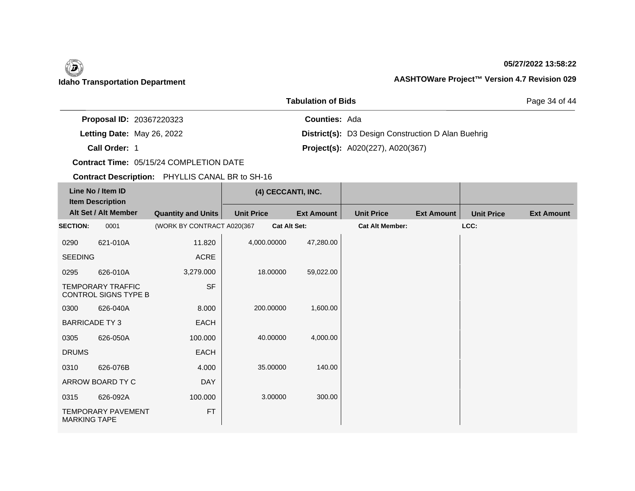### **05/27/2022 13:58:22**

Page 34 of 44

|               | <b>Proposal ID: 20367220323</b> | <b>Counties: Ada</b> |                                                           |
|---------------|---------------------------------|----------------------|-----------------------------------------------------------|
|               | Letting Date: May 26, 2022      |                      | <b>District(s):</b> D3 Design Construction D Alan Buehrig |
| Call Order: 1 |                                 |                      | <b>Project(s):</b> A020(227), A020(367)                   |

**Tabulation of Bids**

**Contract Time:** 05/15/24 COMPLETION DATE

| Line No / Item ID<br><b>Item Description</b> |                                                  |                            | (4) CECCANTI, INC.  |                   |                        |                   |                   |                   |
|----------------------------------------------|--------------------------------------------------|----------------------------|---------------------|-------------------|------------------------|-------------------|-------------------|-------------------|
|                                              | Alt Set / Alt Member                             | <b>Quantity and Units</b>  | <b>Unit Price</b>   | <b>Ext Amount</b> | <b>Unit Price</b>      | <b>Ext Amount</b> | <b>Unit Price</b> | <b>Ext Amount</b> |
| <b>SECTION:</b>                              | 0001                                             | (WORK BY CONTRACT A020(367 | <b>Cat Alt Set:</b> |                   | <b>Cat Alt Member:</b> |                   | LCC:              |                   |
| 0290                                         | 621-010A                                         | 11.820                     | 4,000.00000         | 47,280.00         |                        |                   |                   |                   |
| <b>SEEDING</b>                               |                                                  | ACRE                       |                     |                   |                        |                   |                   |                   |
| 0295                                         | 626-010A                                         | 3,279.000                  | 18.00000            | 59,022.00         |                        |                   |                   |                   |
|                                              | <b>TEMPORARY TRAFFIC</b><br>CONTROL SIGNS TYPE B | <b>SF</b>                  |                     |                   |                        |                   |                   |                   |
| 0300                                         | 626-040A                                         | 8.000                      | 200.00000           | 1,600.00          |                        |                   |                   |                   |
| <b>BARRICADE TY3</b>                         |                                                  | EACH                       |                     |                   |                        |                   |                   |                   |
| 0305                                         | 626-050A                                         | 100.000                    | 40.00000            | 4,000.00          |                        |                   |                   |                   |
| <b>DRUMS</b>                                 |                                                  | EACH                       |                     |                   |                        |                   |                   |                   |
| 0310                                         | 626-076B                                         | 4.000                      | 35.00000            | 140.00            |                        |                   |                   |                   |
|                                              | ARROW BOARD TY C                                 | <b>DAY</b>                 |                     |                   |                        |                   |                   |                   |
| 0315                                         | 626-092A                                         | 100.000                    | 3.00000             | 300.00            |                        |                   |                   |                   |
| <b>MARKING TAPE</b>                          | <b>TEMPORARY PAVEMENT</b>                        | <b>FT</b>                  |                     |                   |                        |                   |                   |                   |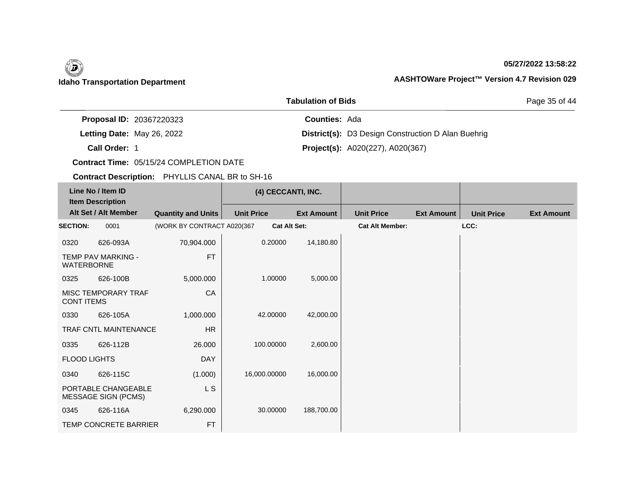### **05/27/2022 13:58:22**

Page 35 of 44

| <b>Proposal ID: 20367220323</b> | <b>Counties: Ada</b>                                      |
|---------------------------------|-----------------------------------------------------------|
| Letting Date: May 26, 2022      | <b>District(s):</b> D3 Design Construction D Alan Buehrig |
| Call Order: 1                   | <b>Project(s):</b> A020(227), A020(367)                   |

**Tabulation of Bids**

**Contract Time:** 05/15/24 COMPLETION DATE

| Line No / Item ID<br><b>Item Description</b> |                                                   | (4) CECCANTI, INC.         |                     |                   |                        |                   |                   |                   |
|----------------------------------------------|---------------------------------------------------|----------------------------|---------------------|-------------------|------------------------|-------------------|-------------------|-------------------|
|                                              | Alt Set / Alt Member                              | <b>Quantity and Units</b>  | <b>Unit Price</b>   | <b>Ext Amount</b> | <b>Unit Price</b>      | <b>Ext Amount</b> | <b>Unit Price</b> | <b>Ext Amount</b> |
| <b>SECTION:</b>                              | 0001                                              | (WORK BY CONTRACT A020(367 | <b>Cat Alt Set:</b> |                   | <b>Cat Alt Member:</b> |                   | LCC:              |                   |
| 0320                                         | 626-093A                                          | 70,904.000                 | 0.20000             | 14,180.80         |                        |                   |                   |                   |
| <b>WATERBORNE</b>                            | <b>TEMP PAV MARKING -</b>                         | <b>FT</b>                  |                     |                   |                        |                   |                   |                   |
| 0325                                         | 626-100B                                          | 5,000.000                  | 1.00000             | 5,000.00          |                        |                   |                   |                   |
| <b>CONT ITEMS</b>                            | <b>MISC TEMPORARY TRAF</b>                        | CA                         |                     |                   |                        |                   |                   |                   |
| 0330                                         | 626-105A                                          | 1,000.000                  | 42.00000            | 42,000.00         |                        |                   |                   |                   |
|                                              | TRAF CNTL MAINTENANCE                             | HR                         |                     |                   |                        |                   |                   |                   |
| 0335                                         | 626-112B                                          | 26.000                     | 100.00000           | 2,600.00          |                        |                   |                   |                   |
| <b>FLOOD LIGHTS</b>                          |                                                   | <b>DAY</b>                 |                     |                   |                        |                   |                   |                   |
| 0340                                         | 626-115C                                          | (1.000)                    | 16,000.00000        | 16,000.00         |                        |                   |                   |                   |
|                                              | PORTABLE CHANGEABLE<br><b>MESSAGE SIGN (PCMS)</b> | L S                        |                     |                   |                        |                   |                   |                   |
| 0345                                         | 626-116A                                          | 6,290.000                  | 30.00000            | 188,700.00        |                        |                   |                   |                   |
|                                              | TEMP CONCRETE BARRIER                             | <b>FT</b>                  |                     |                   |                        |                   |                   |                   |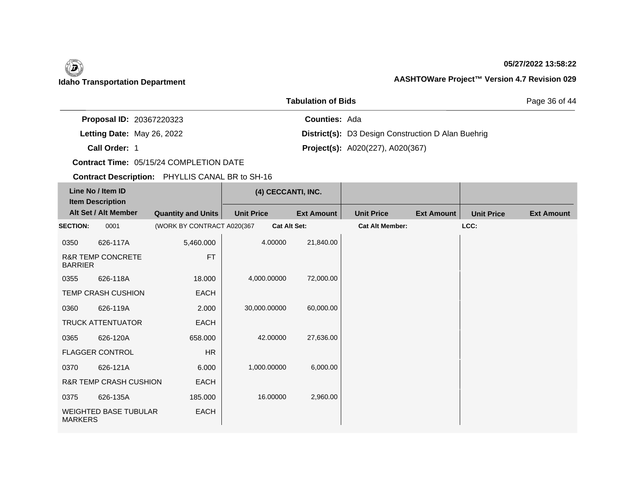### **05/27/2022 13:58:22**

Page 36 of 44

|                                 | , 898668888888       |                                                           |
|---------------------------------|----------------------|-----------------------------------------------------------|
| <b>Proposal ID: 20367220323</b> | <b>Counties: Ada</b> |                                                           |
| Letting Date: May 26, 2022      |                      | <b>District(s):</b> D3 Design Construction D Alan Buehrig |
| Call Order: 1                   |                      | <b>Project(s):</b> A020(227), A020(367)                   |

**Tabulation of Bids**

**Contract Time:** 05/15/24 COMPLETION DATE

| Line No / Item ID<br><b>Item Description</b> |                                   |                            | (4) CECCANTI, INC.  |                   |                        |                   |                   |                   |
|----------------------------------------------|-----------------------------------|----------------------------|---------------------|-------------------|------------------------|-------------------|-------------------|-------------------|
|                                              | Alt Set / Alt Member              | <b>Quantity and Units</b>  | <b>Unit Price</b>   | <b>Ext Amount</b> | <b>Unit Price</b>      | <b>Ext Amount</b> | <b>Unit Price</b> | <b>Ext Amount</b> |
| <b>SECTION:</b>                              | 0001                              | (WORK BY CONTRACT A020(367 | <b>Cat Alt Set:</b> |                   | <b>Cat Alt Member:</b> |                   | LCC:              |                   |
| 0350                                         | 626-117A                          | 5,460.000                  | 4.00000             | 21,840.00         |                        |                   |                   |                   |
| <b>BARRIER</b>                               | <b>R&amp;R TEMP CONCRETE</b>      | <b>FT</b>                  |                     |                   |                        |                   |                   |                   |
| 0355                                         | 626-118A                          | 18.000                     | 4,000.00000         | 72,000.00         |                        |                   |                   |                   |
|                                              | <b>TEMP CRASH CUSHION</b>         | EACH                       |                     |                   |                        |                   |                   |                   |
| 0360                                         | 626-119A                          | 2.000                      | 30,000.00000        | 60,000.00         |                        |                   |                   |                   |
|                                              | <b>TRUCK ATTENTUATOR</b>          | EACH                       |                     |                   |                        |                   |                   |                   |
| 0365                                         | 626-120A                          | 658.000                    | 42,00000            | 27,636.00         |                        |                   |                   |                   |
|                                              | <b>FLAGGER CONTROL</b>            | <b>HR</b>                  |                     |                   |                        |                   |                   |                   |
| 0370                                         | 626-121A                          | 6.000                      | 1,000.00000         | 6,000.00          |                        |                   |                   |                   |
|                                              | <b>R&amp;R TEMP CRASH CUSHION</b> | EACH                       |                     |                   |                        |                   |                   |                   |
| 0375                                         | 626-135A                          | 185,000                    | 16.00000            | 2,960.00          |                        |                   |                   |                   |
| <b>MARKERS</b>                               | <b>WEIGHTED BASE TUBULAR</b>      | <b>EACH</b>                |                     |                   |                        |                   |                   |                   |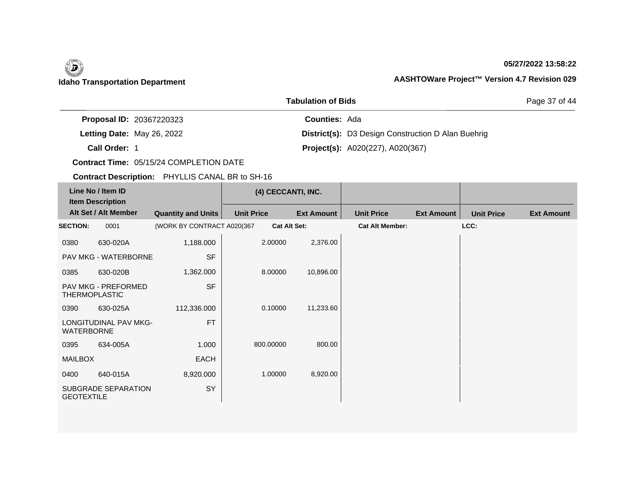### **05/27/2022 13:58:22**

Page 37 of 44

|                                 | , 89966966                                                |
|---------------------------------|-----------------------------------------------------------|
| <b>Proposal ID: 20367220323</b> | <b>Counties: Ada</b>                                      |
| Letting Date: May 26, 2022      | <b>District(s):</b> D3 Design Construction D Alan Buehrig |
| Call Order: 1                   | <b>Project(s):</b> A020(227), A020(367)                   |

**Tabulation of Bids**

**Contract Time:** 05/15/24 COMPLETION DATE

| Line No / Item ID<br><b>Item Description</b> |                                                    |                            | (4) CECCANTI, INC. |                     |                        |                   |                   |                   |
|----------------------------------------------|----------------------------------------------------|----------------------------|--------------------|---------------------|------------------------|-------------------|-------------------|-------------------|
|                                              | Alt Set / Alt Member                               | <b>Quantity and Units</b>  | <b>Unit Price</b>  | <b>Ext Amount</b>   | <b>Unit Price</b>      | <b>Ext Amount</b> | <b>Unit Price</b> | <b>Ext Amount</b> |
| <b>SECTION:</b>                              | 0001                                               | (WORK BY CONTRACT A020(367 |                    | <b>Cat Alt Set:</b> | <b>Cat Alt Member:</b> |                   | LCC:              |                   |
| 0380                                         | 630-020A                                           | 1,188.000                  | 2.00000            | 2,376.00            |                        |                   |                   |                   |
|                                              | PAV MKG - WATERBORNE                               | <b>SF</b>                  |                    |                     |                        |                   |                   |                   |
| 0385                                         | 630-020B                                           | 1,362.000                  | 8.00000            | 10,896.00           |                        |                   |                   |                   |
|                                              | <b>PAV MKG - PREFORMED</b><br><b>THERMOPLASTIC</b> | <b>SF</b>                  |                    |                     |                        |                   |                   |                   |
| 0390                                         | 630-025A                                           | 112,336.000                | 0.10000            | 11,233.60           |                        |                   |                   |                   |
| <b>WATERBORNE</b>                            | <b>LONGITUDINAL PAV MKG-</b>                       | <b>FT</b>                  |                    |                     |                        |                   |                   |                   |
| 0395                                         | 634-005A                                           | 1.000                      | 800.00000          | 800.00              |                        |                   |                   |                   |
| <b>MAILBOX</b>                               |                                                    | <b>EACH</b>                |                    |                     |                        |                   |                   |                   |
| 0400                                         | 640-015A                                           | 8,920.000                  | 1.00000            | 8,920.00            |                        |                   |                   |                   |
| <b>GEOTEXTILE</b>                            | SUBGRADE SEPARATION                                | SY                         |                    |                     |                        |                   |                   |                   |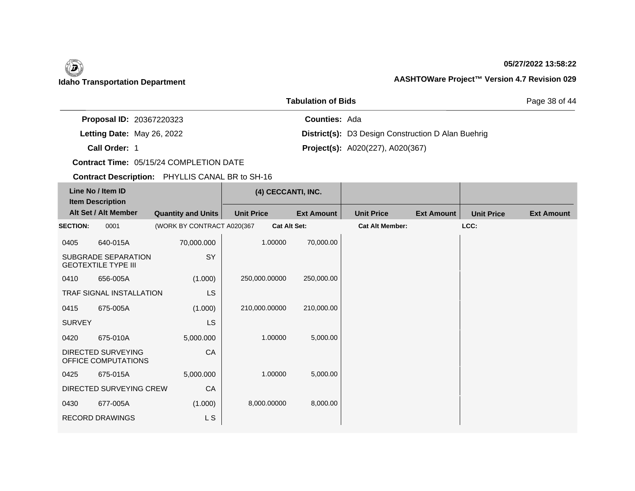### **05/27/2022 13:58:22**

Page 38 of 44

|                                 | <b>Tabulation of Bids</b>                                 |
|---------------------------------|-----------------------------------------------------------|
| <b>Proposal ID: 20367220323</b> | <b>Counties: Ada</b>                                      |
| Letting Date: May 26, 2022      | <b>District(s):</b> D3 Design Construction D Alan Buehrig |
| Call Order: 1                   | <b>Project(s):</b> A020(227), A020(367)                   |

**Contract Time:** 05/15/24 COMPLETION DATE

| Line No / Item ID<br><b>Item Description</b> |                                                          |                            | (4) CECCANTI, INC.  |                   |                        |                   |                   |                   |
|----------------------------------------------|----------------------------------------------------------|----------------------------|---------------------|-------------------|------------------------|-------------------|-------------------|-------------------|
|                                              | Alt Set / Alt Member                                     | <b>Quantity and Units</b>  | <b>Unit Price</b>   | <b>Ext Amount</b> | <b>Unit Price</b>      | <b>Ext Amount</b> | <b>Unit Price</b> | <b>Ext Amount</b> |
| <b>SECTION:</b>                              | 0001                                                     | (WORK BY CONTRACT A020(367 | <b>Cat Alt Set:</b> |                   | <b>Cat Alt Member:</b> |                   | LCC:              |                   |
| 0405                                         | 640-015A                                                 | 70,000.000                 | 1.00000             | 70,000.00         |                        |                   |                   |                   |
|                                              | <b>SUBGRADE SEPARATION</b><br><b>GEOTEXTILE TYPE III</b> | SY                         |                     |                   |                        |                   |                   |                   |
| 0410                                         | 656-005A                                                 | (1.000)                    | 250,000.00000       | 250,000.00        |                        |                   |                   |                   |
|                                              | TRAF SIGNAL INSTALLATION                                 | LS                         |                     |                   |                        |                   |                   |                   |
| 0415                                         | 675-005A                                                 | (1.000)                    | 210,000.00000       | 210,000.00        |                        |                   |                   |                   |
| <b>SURVEY</b>                                |                                                          | <b>LS</b>                  |                     |                   |                        |                   |                   |                   |
| 0420                                         | 675-010A                                                 | 5,000.000                  | 1.00000             | 5,000.00          |                        |                   |                   |                   |
|                                              | DIRECTED SURVEYING<br>OFFICE COMPUTATIONS                | CA                         |                     |                   |                        |                   |                   |                   |
| 0425                                         | 675-015A                                                 | 5,000.000                  | 1.00000             | 5,000.00          |                        |                   |                   |                   |
|                                              | DIRECTED SURVEYING CREW                                  | CA                         |                     |                   |                        |                   |                   |                   |
| 0430                                         | 677-005A                                                 | (1.000)                    | 8,000.00000         | 8,000.00          |                        |                   |                   |                   |
|                                              | <b>RECORD DRAWINGS</b>                                   | L S                        |                     |                   |                        |                   |                   |                   |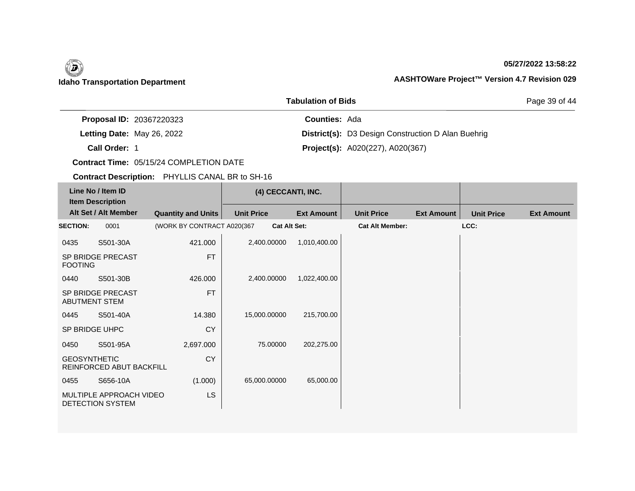### **05/27/2022 13:58:22**

Page 39 of 44

### **Idaho Transportation Department AASHTOWare Project™ Version 4.7 Revision 029**

|                                 | <b>Tabulation of Bids</b>                                 |
|---------------------------------|-----------------------------------------------------------|
| <b>Proposal ID: 20367220323</b> | <b>Counties: Ada</b>                                      |
| Letting Date: May 26, 2022      | <b>District(s):</b> D3 Design Construction D Alan Buehrig |
| Call Order: 1                   | <b>Project(s):</b> A020(227), A020(367)                   |

**Contract Time:** 05/15/24 COMPLETION DATE

| Line No / Item ID<br><b>Item Description</b> |                                           |                            | (4) CECCANTI, INC. |                     |                        |                   |                   |                   |
|----------------------------------------------|-------------------------------------------|----------------------------|--------------------|---------------------|------------------------|-------------------|-------------------|-------------------|
|                                              | Alt Set / Alt Member                      | <b>Quantity and Units</b>  | <b>Unit Price</b>  | <b>Ext Amount</b>   | <b>Unit Price</b>      | <b>Ext Amount</b> | <b>Unit Price</b> | <b>Ext Amount</b> |
| <b>SECTION:</b>                              | 0001                                      | (WORK BY CONTRACT A020(367 |                    | <b>Cat Alt Set:</b> | <b>Cat Alt Member:</b> |                   | LCC:              |                   |
| 0435                                         | S501-30A                                  | 421.000                    | 2,400.00000        | 1,010,400.00        |                        |                   |                   |                   |
| <b>FOOTING</b>                               | SP BRIDGE PRECAST                         | <b>FT</b>                  |                    |                     |                        |                   |                   |                   |
| 0440                                         | S501-30B                                  | 426.000                    | 2,400.00000        | 1,022,400.00        |                        |                   |                   |                   |
|                                              | <b>SP BRIDGE PRECAST</b><br>ABUTMENT STEM | <b>FT</b>                  |                    |                     |                        |                   |                   |                   |
| 0445                                         | S501-40A                                  | 14.380                     | 15,000.00000       | 215,700.00          |                        |                   |                   |                   |
|                                              | SP BRIDGE UHPC                            | CY                         |                    |                     |                        |                   |                   |                   |
| 0450                                         | S501-95A                                  | 2,697.000                  | 75.00000           | 202,275.00          |                        |                   |                   |                   |
| <b>GEOSYNTHETIC</b>                          | REINFORCED ABUT BACKFILL                  | <b>CY</b>                  |                    |                     |                        |                   |                   |                   |
| 0455                                         | S656-10A                                  | (1.000)                    | 65,000.00000       | 65,000.00           |                        |                   |                   |                   |
| MULTIPLE APPROACH VIDEO<br>DETECTION SYSTEM  |                                           | LS                         |                    |                     |                        |                   |                   |                   |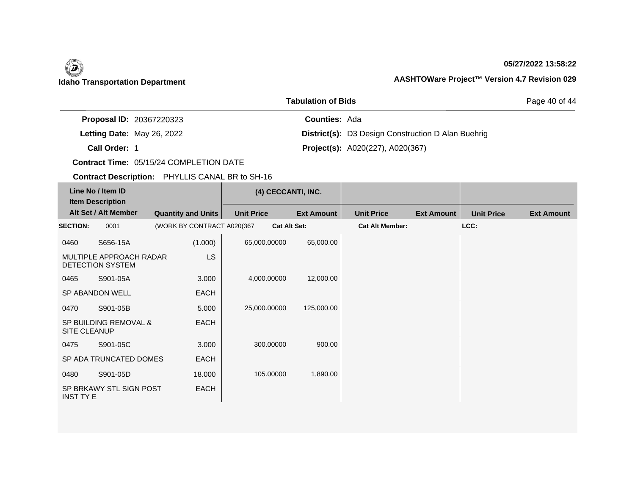### **05/27/2022 13:58:22**

Page 40 of 44

| <b>Proposal ID: 20367220323</b> | <b>Counties: Ada</b>                                      |
|---------------------------------|-----------------------------------------------------------|
| Letting Date: May 26, 2022      | <b>District(s):</b> D3 Design Construction D Alan Buehrig |
| Call Order: 1                   | <b>Project(s):</b> A020(227), A020(367)                   |

**Tabulation of Bids**

**Contract Time:** 05/15/24 COMPLETION DATE

| Line No / Item ID<br><b>Item Description</b> |                                                    |                            | (4) CECCANTI, INC. |                     |                        |                   |                   |                   |
|----------------------------------------------|----------------------------------------------------|----------------------------|--------------------|---------------------|------------------------|-------------------|-------------------|-------------------|
|                                              | Alt Set / Alt Member                               | <b>Quantity and Units</b>  | <b>Unit Price</b>  | <b>Ext Amount</b>   | <b>Unit Price</b>      | <b>Ext Amount</b> | <b>Unit Price</b> | <b>Ext Amount</b> |
| <b>SECTION:</b>                              | 0001                                               | (WORK BY CONTRACT A020(367 |                    | <b>Cat Alt Set:</b> | <b>Cat Alt Member:</b> |                   | LCC:              |                   |
| 0460                                         | S656-15A                                           | (1.000)                    | 65,000.00000       | 65,000.00           |                        |                   |                   |                   |
|                                              | MULTIPLE APPROACH RADAR<br><b>DETECTION SYSTEM</b> | LS.                        |                    |                     |                        |                   |                   |                   |
| 0465                                         | S901-05A                                           | 3.000                      | 4,000.00000        | 12,000.00           |                        |                   |                   |                   |
|                                              | SP ABANDON WELL                                    | <b>EACH</b>                |                    |                     |                        |                   |                   |                   |
| 0470                                         | S901-05B                                           | 5.000                      | 25,000.00000       | 125,000.00          |                        |                   |                   |                   |
| <b>SITE CLEANUP</b>                          | SP BUILDING REMOVAL &                              | <b>EACH</b>                |                    |                     |                        |                   |                   |                   |
| 0475                                         | S901-05C                                           | 3.000                      | 300.00000          | 900.00              |                        |                   |                   |                   |
|                                              | SP ADA TRUNCATED DOMES                             | EACH                       |                    |                     |                        |                   |                   |                   |
| 0480                                         | S901-05D                                           | 18.000                     | 105.00000          | 1,890.00            |                        |                   |                   |                   |
| <b>INST TY E</b>                             | SP BRKAWY STL SIGN POST                            | <b>EACH</b>                |                    |                     |                        |                   |                   |                   |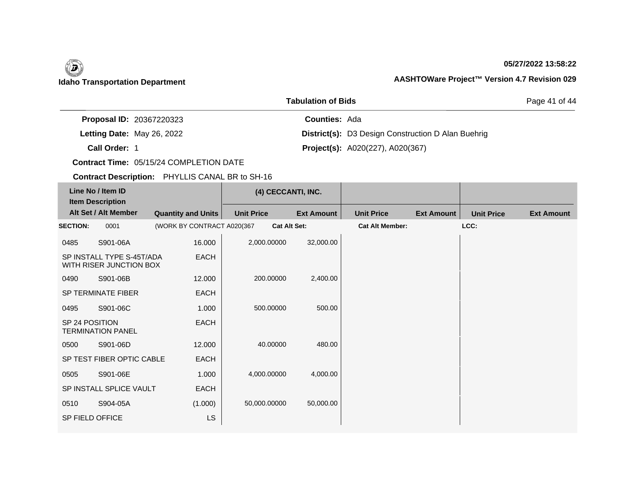### **05/27/2022 13:58:22**

Page 41 of 44

| <b>Proposal ID: 20367220323</b> | <b>Counties: Ada</b> |                                                           |
|---------------------------------|----------------------|-----------------------------------------------------------|
| Letting Date: May 26, 2022      |                      | <b>District(s):</b> D3 Design Construction D Alan Buehrig |
| Call Order: 1                   |                      | <b>Project(s):</b> A020(227), A020(367)                   |

**Tabulation of Bids**

**Contract Time:** 05/15/24 COMPLETION DATE

| Line No / Item ID<br><b>Item Description</b> |                                                      |                            | (4) CECCANTI, INC.  |                   |                        |                   |                   |                   |
|----------------------------------------------|------------------------------------------------------|----------------------------|---------------------|-------------------|------------------------|-------------------|-------------------|-------------------|
|                                              | Alt Set / Alt Member                                 | <b>Quantity and Units</b>  | <b>Unit Price</b>   | <b>Ext Amount</b> | <b>Unit Price</b>      | <b>Ext Amount</b> | <b>Unit Price</b> | <b>Ext Amount</b> |
| <b>SECTION:</b>                              | 0001                                                 | (WORK BY CONTRACT A020(367 | <b>Cat Alt Set:</b> |                   | <b>Cat Alt Member:</b> |                   | LCC:              |                   |
| 0485                                         | S901-06A                                             | 16.000                     | 2,000.00000         | 32,000.00         |                        |                   |                   |                   |
|                                              | SP INSTALL TYPE S-45T/ADA<br>WITH RISER JUNCTION BOX | <b>EACH</b>                |                     |                   |                        |                   |                   |                   |
| 0490                                         | S901-06B                                             | 12.000                     | 200.00000           | 2,400.00          |                        |                   |                   |                   |
|                                              | SP TERMINATE FIBER                                   | <b>EACH</b>                |                     |                   |                        |                   |                   |                   |
| 0495                                         | S901-06C                                             | 1.000                      | 500.00000           | 500.00            |                        |                   |                   |                   |
| SP 24 POSITION                               | <b>TERMINATION PANEL</b>                             | <b>EACH</b>                |                     |                   |                        |                   |                   |                   |
| 0500                                         | S901-06D                                             | 12.000                     | 40.00000            | 480.00            |                        |                   |                   |                   |
|                                              | SP TEST FIBER OPTIC CABLE                            | <b>EACH</b>                |                     |                   |                        |                   |                   |                   |
| 0505                                         | S901-06E                                             | 1.000                      | 4,000.00000         | 4,000.00          |                        |                   |                   |                   |
|                                              | SP INSTALL SPLICE VAULT                              | <b>EACH</b>                |                     |                   |                        |                   |                   |                   |
| 0510                                         | S904-05A                                             | (1.000)                    | 50,000.00000        | 50,000.00         |                        |                   |                   |                   |
| SP FIELD OFFICE                              |                                                      | LS                         |                     |                   |                        |                   |                   |                   |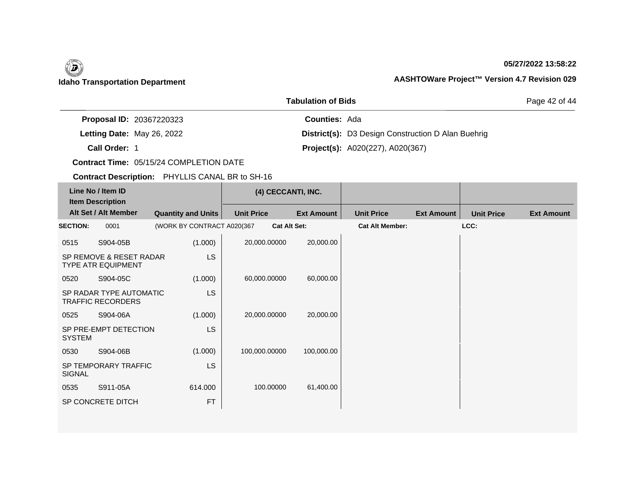### **05/27/2022 13:58:22**

Page 42 of 44

| <b>Proposal ID: 20367220323</b> | <b>Counties: Ada</b>                                      |
|---------------------------------|-----------------------------------------------------------|
| Letting Date: May 26, 2022      | <b>District(s):</b> D3 Design Construction D Alan Buehrig |
| Call Order: 1                   | <b>Project(s):</b> $A020(227)$ , $A020(367)$              |

**Tabulation of Bids**

**Contract Time:** 05/15/24 COMPLETION DATE

| Line No / Item ID<br><b>Item Description</b><br>Alt Set / Alt Member |                                                      |                            | (4) CECCANTI, INC. |                     |                        |                   |                   |                   |
|----------------------------------------------------------------------|------------------------------------------------------|----------------------------|--------------------|---------------------|------------------------|-------------------|-------------------|-------------------|
|                                                                      |                                                      | <b>Quantity and Units</b>  | <b>Unit Price</b>  | <b>Ext Amount</b>   | <b>Unit Price</b>      | <b>Ext Amount</b> | <b>Unit Price</b> | <b>Ext Amount</b> |
| <b>SECTION:</b>                                                      | 0001                                                 | (WORK BY CONTRACT A020(367 |                    | <b>Cat Alt Set:</b> | <b>Cat Alt Member:</b> |                   | LCC:              |                   |
| 0515                                                                 | S904-05B                                             | (1.000)                    | 20,000.00000       | 20,000.00           |                        |                   |                   |                   |
|                                                                      | SP REMOVE & RESET RADAR<br><b>TYPE ATR EQUIPMENT</b> | <b>LS</b>                  |                    |                     |                        |                   |                   |                   |
| 0520                                                                 | S904-05C                                             | (1.000)                    | 60,000.00000       | 60,000.00           |                        |                   |                   |                   |
| <b>LS</b><br>SP RADAR TYPE AUTOMATIC<br><b>TRAFFIC RECORDERS</b>     |                                                      |                            |                    |                     |                        |                   |                   |                   |
| 0525                                                                 | S904-06A                                             | (1.000)                    | 20,000.00000       | 20,000.00           |                        |                   |                   |                   |
| <b>SYSTEM</b>                                                        | SP PRE-EMPT DETECTION                                | <b>LS</b>                  |                    |                     |                        |                   |                   |                   |
| 0530                                                                 | S904-06B                                             | (1.000)                    | 100,000.00000      | 100,000.00          |                        |                   |                   |                   |
| <b>SIGNAL</b>                                                        | SP TEMPORARY TRAFFIC                                 | <b>LS</b>                  |                    |                     |                        |                   |                   |                   |
| 0535                                                                 | S911-05A                                             | 614.000                    | 100.00000          | 61,400.00           |                        |                   |                   |                   |
| FT<br>SP CONCRETE DITCH                                              |                                                      |                            |                    |                     |                        |                   |                   |                   |
|                                                                      |                                                      |                            |                    |                     |                        |                   |                   |                   |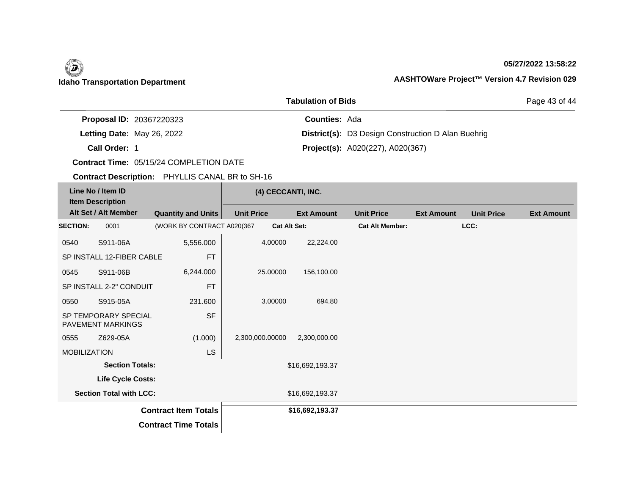### **05/27/2022 13:58:22**

Page 43 of 44

| <b>Tabulation of Bids</b>       |  |                      |                                                           |
|---------------------------------|--|----------------------|-----------------------------------------------------------|
| <b>Proposal ID: 20367220323</b> |  | <b>Counties: Ada</b> |                                                           |
| Letting Date: May 26, 2022      |  |                      | <b>District(s):</b> D3 Design Construction D Alan Buehrig |
| Call Order: 1                   |  |                      | <b>Project(s):</b> A020(227), A020(367)                   |

**Contract Time:** 05/15/24 COMPLETION DATE

| Line No / Item ID<br><b>Item Description</b><br>Alt Set / Alt Member |          |                            | (4) CECCANTI, INC.  |                   |                        |                   |                   |                   |
|----------------------------------------------------------------------|----------|----------------------------|---------------------|-------------------|------------------------|-------------------|-------------------|-------------------|
|                                                                      |          | <b>Quantity and Units</b>  | <b>Unit Price</b>   | <b>Ext Amount</b> | <b>Unit Price</b>      | <b>Ext Amount</b> | <b>Unit Price</b> | <b>Ext Amount</b> |
| <b>SECTION:</b>                                                      | 0001     | (WORK BY CONTRACT A020(367 | <b>Cat Alt Set:</b> |                   | <b>Cat Alt Member:</b> |                   | LCC:              |                   |
| 0540                                                                 | S911-06A | 5,556.000                  | 4.00000             | 22,224.00         |                        |                   |                   |                   |
| <b>FT</b><br>SP INSTALL 12-FIBER CABLE                               |          |                            |                     |                   |                        |                   |                   |                   |
| 0545                                                                 | S911-06B | 6,244.000                  | 25.00000            | 156,100.00        |                        |                   |                   |                   |
| <b>FT</b><br>SP INSTALL 2-2" CONDUIT                                 |          |                            |                     |                   |                        |                   |                   |                   |
| 0550                                                                 | S915-05A | 231.600                    | 3.00000             | 694.80            |                        |                   |                   |                   |
| <b>SP TEMPORARY SPECIAL</b><br><b>PAVEMENT MARKINGS</b>              |          | <b>SF</b>                  |                     |                   |                        |                   |                   |                   |
| 0555                                                                 | Z629-05A | (1.000)                    | 2,300,000.00000     | 2,300,000.00      |                        |                   |                   |                   |
| <b>MOBILIZATION</b><br>LS                                            |          |                            |                     |                   |                        |                   |                   |                   |
| <b>Section Totals:</b>                                               |          | \$16,692,193.37            |                     |                   |                        |                   |                   |                   |
| Life Cycle Costs:                                                    |          |                            |                     |                   |                        |                   |                   |                   |
| <b>Section Total with LCC:</b>                                       |          |                            |                     | \$16,692,193.37   |                        |                   |                   |                   |
| <b>Contract Item Totals</b>                                          |          |                            | \$16,692,193.37     |                   |                        |                   |                   |                   |
| <b>Contract Time Totals</b>                                          |          |                            |                     |                   |                        |                   |                   |                   |